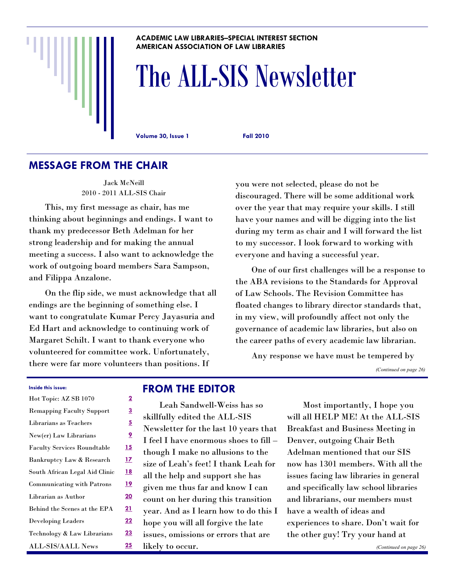#### **ACADEMIC LAW LIBRARIES–SPECIAL INTEREST SECTION AMERICAN ASSOCIATION OF LAW LIBRARIES**

# The ALL-SIS Newsletter

**Volume 30, Issue 1 Fall 2010**

### **MESSAGE FROM THE CHAIR**

Jack McNeill 2010 - 2011 ALL-SIS Chair

This, my first message as chair, has me thinking about beginnings and endings. I want to thank my predecessor Beth Adelman for her strong leadership and for making the annual meeting a success. I also want to acknowledge the work of outgoing board members Sara Sampson, and Filippa Anzalone.

On the flip side, we must acknowledge that all endings are the beginning of something else. I want to congratulate Kumar Percy Jayasuria and Ed Hart and acknowledge to continuing work of Margaret Schilt. I want to thank everyone who volunteered for committee work. Unfortunately, there were far more volunteers than positions. If

you were not selected, please do not be discouraged. There will be some additional work over the year that may require your skills. I still have your names and will be digging into the list during my term as chair and I will forward the list to my successor. I look forward to working with everyone and having a successful year.

One of our first challenges will be a response to the ABA revisions to the Standards for Approval of Law Schools. The Revision Committee has floated changes to library director standards that, in my view, will profoundly affect not only the governance of academic law libraries, but also on the career paths of every academic law librarian.

Any response we have must be tempered by

*(Continued on page 26)*

#### **Inside this issue:**

| Hot Topic: AZ SB 1070              | $\overline{2}$ |
|------------------------------------|----------------|
| <b>Remapping Faculty Support</b>   | <u>3</u>       |
| Librarians as Teachers             | <u>5</u>       |
| New(er) Law Librarians             | <u>9</u>       |
| <b>Faculty Services Roundtable</b> | <u>15</u>      |
| Bankruptcy Law & Research          | <u>17</u>      |
| South African Legal Aid Clinic     | <u>18</u>      |
| <b>Communicating with Patrons</b>  | <u>19</u>      |
| Librarian as Author                | 20             |
| Behind the Scenes at the EPA       | <u>21</u>      |
| <b>Developing Leaders</b>          | 22             |
| Technology & Law Librarians        | 23             |
| <b>ALL-SIS/AALL News</b>           | 25             |

### **FROM THE EDITOR**

Leah Sandwell-Weiss has so skillfully edited the ALL-SIS Newsletter for the last 10 years that I feel I have enormous shoes to fill – though I make no allusions to the size of Leah's feet! I thank Leah for all the help and support she has given me thus far and know I can count on her during this transition year. And as I learn how to do this I hope you will all forgive the late issues, omissions or errors that are likely to occur.

Most importantly, I hope you will all HELP ME! At the ALL-SIS Breakfast and Business Meeting in Denver, outgoing Chair Beth Adelman mentioned that our SIS now has 1301 members. With all the issues facing law libraries in general and specifically law school libraries and librarians, our members must have a wealth of ideas and experiences to share. Don't wait for the other guy! Try your hand at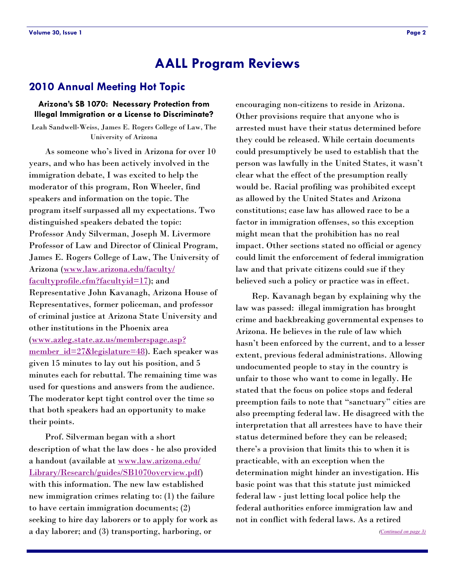### <span id="page-1-0"></span>**2010 Annual Meeting Hot Topic**

#### **Arizona's SB 1070: Necessary Protection from Illegal Immigration or a License to Discriminate?**

Leah Sandwell-Weiss, James E. Rogers College of Law, The University of Arizona

As someone who's lived in Arizona for over 10 years, and who has been actively involved in the immigration debate, I was excited to help the moderator of this program, Ron Wheeler, find speakers and information on the topic. The program itself surpassed all my expectations. Two distinguished speakers debated the topic: Professor Andy Silverman, Joseph M. Livermore Professor of Law and Director of Clinical Program, James E. Rogers College of Law, The University of Arizona [\(www.law.arizona.edu/faculty/](http://www.law.arizona.edu/faculty/facultyprofile.cfm?facultyid=17) [facultyprofile.cfm?facultyid=17\)](http://www.law.arizona.edu/faculty/facultyprofile.cfm?facultyid=17); and Representative John Kavanagh, Arizona House of Representatives, former policeman, and professor of criminal justice at Arizona State University and other institutions in the Phoenix area ([www.azleg.state.az.us/memberspage.asp?](http://www.azleg.state.az.us/memberspage.asp?member_id=27&legislature=48) [member\\_id=27&legislature=48\).](http://www.azleg.state.az.us/memberspage.asp?member_id=27&legislature=48) Each speaker was given 15 minutes to lay out his position, and 5 minutes each for rebuttal. The remaining time was used for questions and answers from the audience. The moderator kept tight control over the time so that both speakers had an opportunity to make their points.

Prof. Silverman began with a short description of what the law does - he also provided a handout (available at [www.law.arizona.edu/](http://www.law.arizona.edu/Library/Research/guides/SB1070overview.pdf) [Library/Research/guides/SB1070overview.pdf\)](http://www.law.arizona.edu/Library/Research/guides/SB1070overview.pdf) with this information. The new law established new immigration crimes relating to: (1) the failure to have certain immigration documents; (2) seeking to hire day laborers or to apply for work as a day laborer; and (3) transporting, harboring, or

encouraging non-citizens to reside in Arizona. Other provisions require that anyone who is arrested must have their status determined before they could be released. While certain documents could presumptively be used to establish that the person was lawfully in the United States, it wasn't clear what the effect of the presumption really would be. Racial profiling was prohibited except as allowed by the United States and Arizona constitutions; case law has allowed race to be a factor in immigration offenses, so this exception might mean that the prohibition has no real impact. Other sections stated no official or agency could limit the enforcement of federal immigration law and that private citizens could sue if they believed such a policy or practice was in effect.

Rep. Kavanagh began by explaining why the law was passed: illegal immigration has brought crime and backbreaking governmental expenses to Arizona. He believes in the rule of law which hasn't been enforced by the current, and to a lesser extent, previous federal administrations. Allowing undocumented people to stay in the country is unfair to those who want to come in legally. He stated that the focus on police stops and federal preemption fails to note that "sanctuary" cities are also preempting federal law. He disagreed with the interpretation that all arrestees have to have their status determined before they can be released; there's a provision that limits this to when it is practicable, with an exception when the determination might hinder an investigation. His basic point was that this statute just mimicked federal law - just letting local police help the federal authorities enforce immigration law and not in conflict with federal laws. As a retired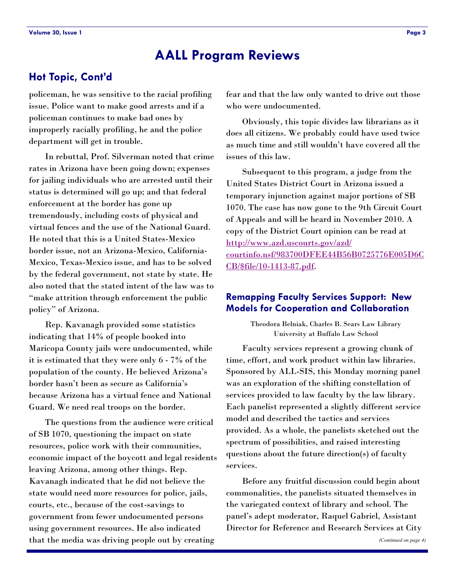### <span id="page-2-0"></span>**Hot Topic, Cont'd**

policeman, he was sensitive to the racial profiling issue. Police want to make good arrests and if a policeman continues to make bad ones by improperly racially profiling, he and the police department will get in trouble.

In rebuttal, Prof. Silverman noted that crime rates in Arizona have been going down; expenses for jailing individuals who are arrested until their status is determined will go up; and that federal enforcement at the border has gone up tremendously, including costs of physical and virtual fences and the use of the National Guard. He noted that this is a United States-Mexico border issue, not an Arizona-Mexico, California-Mexico, Texas-Mexico issue, and has to be solved by the federal government, not state by state. He also noted that the stated intent of the law was to "make attrition through enforcement the public policy" of Arizona.

Rep. Kavanagh provided some statistics indicating that 14% of people booked into Maricopa County jails were undocumented, while it is estimated that they were only 6 - 7% of the population of the county. He believed Arizona's border hasn't been as secure as California's because Arizona has a virtual fence and National Guard. We need real troops on the border.

The questions from the audience were critical of SB 1070, questioning the impact on state resources, police work with their communities, economic impact of the boycott and legal residents leaving Arizona, among other things. Rep. Kavanagh indicated that he did not believe the state would need more resources for police, jails, courts, etc., because of the cost-savings to government from fewer undocumented persons using government resources. He also indicated that the media was driving people out by creating

fear and that the law only wanted to drive out those who were undocumented.

Obviously, this topic divides law librarians as it does all citizens. We probably could have used twice as much time and still wouldn't have covered all the issues of this law.

Subsequent to this program, a judge from the United States District Court in Arizona issued a temporary injunction against major portions of SB 1070. The case has now gone to the 9th Circuit Court of Appeals and will be heard in November 2010. A copy of the District Court opinion can be read at [http://www.azd.uscourts.gov/azd/](http://www.azd.uscourts.gov/azd/courtinfo.nsf/983700DFEE44B56B0725776E005D6CCB/$file/10-1413-87.pdf) [courtinfo.nsf/983700DFEE44B56B0725776E005D6C](http://www.azd.uscourts.gov/azd/courtinfo.nsf/983700DFEE44B56B0725776E005D6CCB/$file/10-1413-87.pdf) [CB/\\$file/10-1413-87.pdf.](http://www.azd.uscourts.gov/azd/courtinfo.nsf/983700DFEE44B56B0725776E005D6CCB/$file/10-1413-87.pdf)

#### **Remapping Faculty Services Support: New Models for Cooperation and Collaboration**

Theodora Belniak, Charles B. Sears Law Library University at Buffalo Law School

Faculty services represent a growing chunk of time, effort, and work product within law libraries. Sponsored by ALL-SIS, this Monday morning panel was an exploration of the shifting constellation of services provided to law faculty by the law library. Each panelist represented a slightly different service model and described the tactics and services provided. As a whole, the panelists sketched out the spectrum of possibilities, and raised interesting questions about the future direction(s) of faculty services.

Before any fruitful discussion could begin about commonalities, the panelists situated themselves in the variegated context of library and school. The panel's adept moderator, Raquel Gabriel, Assistant Director for Reference and Research Services at City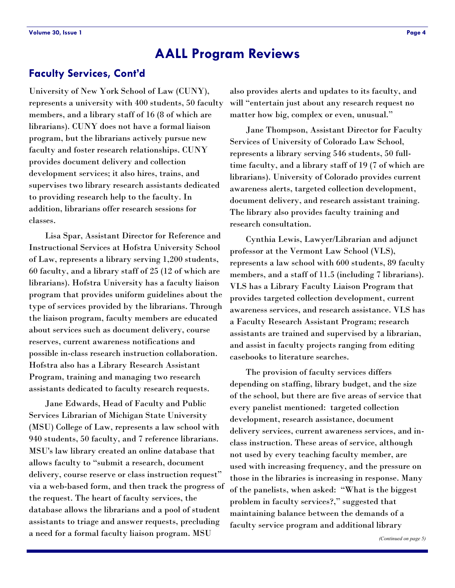### <span id="page-3-0"></span>**Faculty Services, Cont'd**

University of New York School of Law (CUNY), represents a university with 400 students, 50 faculty members, and a library staff of 16 (8 of which are librarians). CUNY does not have a formal liaison program, but the librarians actively pursue new faculty and foster research relationships. CUNY provides document delivery and collection development services; it also hires, trains, and supervises two library research assistants dedicated to providing research help to the faculty. In addition, librarians offer research sessions for classes.

Lisa Spar, Assistant Director for Reference and Instructional Services at Hofstra University School of Law, represents a library serving 1,200 students, 60 faculty, and a library staff of 25 (12 of which are librarians). Hofstra University has a faculty liaison program that provides uniform guidelines about the type of services provided by the librarians. Through the liaison program, faculty members are educated about services such as document delivery, course reserves, current awareness notifications and possible in-class research instruction collaboration. Hofstra also has a Library Research Assistant Program, training and managing two research assistants dedicated to faculty research requests.

Jane Edwards, Head of Faculty and Public Services Librarian of Michigan State University (MSU) College of Law, represents a law school with 940 students, 50 faculty, and 7 reference librarians. MSU's law library created an online database that allows faculty to "submit a research, document delivery, course reserve or class instruction request" via a web-based form, and then track the progress of the request. The heart of faculty services, the database allows the librarians and a pool of student assistants to triage and answer requests, precluding a need for a formal faculty liaison program. MSU

also provides alerts and updates to its faculty, and will "entertain just about any research request no matter how big, complex or even, unusual."

Jane Thompson, Assistant Director for Faculty Services of University of Colorado Law School, represents a library serving 546 students, 50 fulltime faculty, and a library staff of 19 (7 of which are librarians). University of Colorado provides current awareness alerts, targeted collection development, document delivery, and research assistant training. The library also provides faculty training and research consultation.

Cynthia Lewis, Lawyer/Librarian and adjunct professor at the Vermont Law School (VLS), represents a law school with 600 students, 89 faculty members, and a staff of 11.5 (including 7 librarians). VLS has a Library Faculty Liaison Program that provides targeted collection development, current awareness services, and research assistance. VLS has a Faculty Research Assistant Program; research assistants are trained and supervised by a librarian, and assist in faculty projects ranging from editing casebooks to literature searches.

The provision of faculty services differs depending on staffing, library budget, and the size of the school, but there are five areas of service that every panelist mentioned: targeted collection development, research assistance, document delivery services, current awareness services, and inclass instruction. These areas of service, although not used by every teaching faculty member, are used with increasing frequency, and the pressure on those in the libraries is increasing in response. Many of the panelists, when asked: "What is the biggest problem in faculty services?," suggested that maintaining balance between the demands of a faculty service program and additional library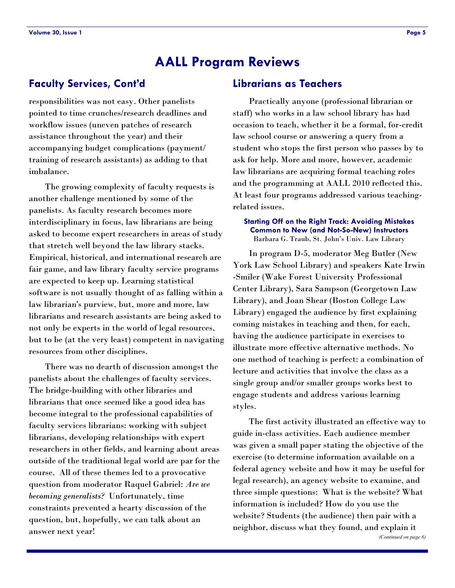### **Faculty Services, Cont'd**

responsibilities was not easy. Other panelists pointed to time crunches/research deadlines and workflow issues (uneven patches of research assistance throughout the year) and their accompanying budget complications (payment/ training of research assistants) as adding to that imbalance.

The growing complexity of faculty requests is another challenge mentioned by some of the panelists. As faculty research becomes more interdisciplinary in focus, law librarians are being asked to become expert researchers in areas of study that stretch well beyond the law library stacks. Empirical, historical, and international research are fair game, and law library faculty service programs are expected to keep up. Learning statistical software is not usually thought of as falling within a law librarian's purview, but, more and more, law librarians and research assistants are being asked to not only be experts in the world of legal resources, but to be (at the very least) competent in navigating resources from other disciplines.

There was no dearth of discussion amongst the panelists about the challenges of faculty services. The bridge-building with other libraries and librarians that once seemed like a good idea has become integral to the professional capabilities of faculty services librarians: working with subject librarians, developing relationships with expert researchers in other fields, and learning about areas outside of the traditional legal world are par for the course. All of these themes led to a provocative question from moderator Raquel Gabriel: *Are we becoming generalists?* Unfortunately, time constraints prevented a hearty discussion of the question, but, hopefully, we can talk about an answer next year!

### **Librarians as Teachers**

Practically anyone (professional librarian or staff) who works in a law school library has had occasion to teach, whether it be a formal, for-credit law school course or answering a query from a student who stops the first person who passes by to ask for help. More and more, however, academic law librarians are acquiring formal teaching roles and the programming at AALL 2010 reflected this. At least four programs addressed various teachingrelated issues.

#### **Starting Off on the Right Track: Avoiding Mistakes Common to New (and Not-So-New) Instructors**  Barbara G. Traub, St. John's Univ. Law Library

In program D-5, moderator Meg Butler (New York Law School Library) and speakers Kate Irwin -Smiler (Wake Forest University Professional Center Library), Sara Sampson (Georgetown Law Library), and Joan Shear (Boston College Law Library) engaged the audience by first explaining coming mistakes in teaching and then, for each, having the audience participate in exercises to illustrate more effective alternative methods. No one method of teaching is perfect: a combination of lecture and activities that involve the class as a single group and/or smaller groups works best to engage students and address various learning styles.

The first activity illustrated an effective way to guide in-class activities. Each audience member was given a small paper stating the objective of the exercise (to determine information available on a federal agency website and how it may be useful for legal research), an agency website to examine, and three simple questions: What is the website? What information is included? How do you use the website? Students (the audience) then pair with a neighbor, discuss what they found, and explain it *(Continued on page 6)*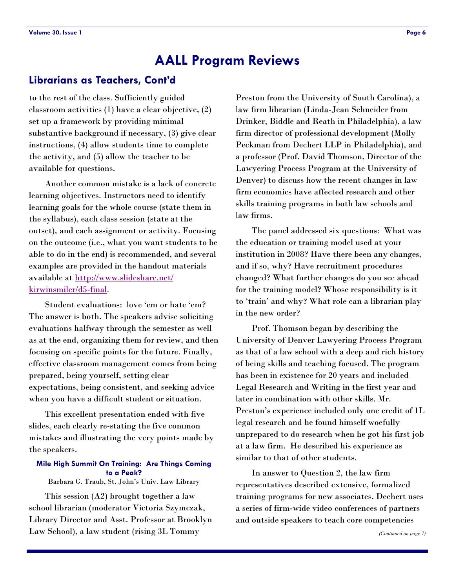#### **Librarians as Teachers, Cont'd**

to the rest of the class. Sufficiently guided classroom activities (1) have a clear objective, (2) set up a framework by providing minimal substantive background if necessary, (3) give clear instructions, (4) allow students time to complete the activity, and (5) allow the teacher to be available for questions.

Another common mistake is a lack of concrete learning objectives. Instructors need to identify learning goals for the whole course (state them in the syllabus), each class session (state at the outset), and each assignment or activity. Focusing on the outcome (i.e., what you want students to be able to do in the end) is recommended, and several examples are provided in the handout materials available at [http://www.slideshare.net/](http://www.slideshare.net/kirwinsmiler/d5-final) [kirwinsmiler/d5-final](http://www.slideshare.net/kirwinsmiler/d5-final).

Student evaluations: love 'em or hate 'em? The answer is both. The speakers advise soliciting evaluations halfway through the semester as well as at the end, organizing them for review, and then focusing on specific points for the future. Finally, effective classroom management comes from being prepared, being yourself, setting clear expectations, being consistent, and seeking advice when you have a difficult student or situation.

This excellent presentation ended with five slides, each clearly re-stating the five common mistakes and illustrating the very points made by the speakers.

#### **Mile High Summit On Training: Are Things Coming to a Peak?**

Barbara G. Traub, St. John's Univ. Law Library

This session (A2) brought together a law school librarian (moderator Victoria Szymczak, Library Director and Asst. Professor at Brooklyn Law School), a law student (rising 3L Tommy

Preston from the University of South Carolina), a law firm librarian (Linda-Jean Schneider from Drinker, Biddle and Reath in Philadelphia), a law firm director of professional development (Molly Peckman from Dechert LLP in Philadelphia), and a professor (Prof. David Thomson, Director of the Lawyering Process Program at the University of Denver) to discuss how the recent changes in law firm economics have affected research and other skills training programs in both law schools and law firms.

The panel addressed six questions: What was the education or training model used at your institution in 2008? Have there been any changes, and if so, why? Have recruitment procedures changed? What further changes do you see ahead for the training model? Whose responsibility is it to 'train' and why? What role can a librarian play in the new order?

Prof. Thomson began by describing the University of Denver Lawyering Process Program as that of a law school with a deep and rich history of being skills and teaching focused. The program has been in existence for 20 years and included Legal Research and Writing in the first year and later in combination with other skills. Mr. Preston's experience included only one credit of 1L legal research and he found himself woefully unprepared to do research when he got his first job at a law firm. He described his experience as similar to that of other students.

In answer to Question 2, the law firm representatives described extensive, formalized training programs for new associates. Dechert uses a series of firm-wide video conferences of partners and outside speakers to teach core competencies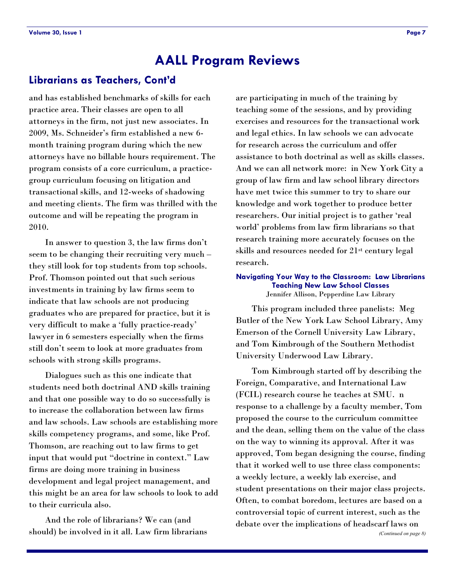### **Librarians as Teachers, Cont'd**

and has established benchmarks of skills for each practice area. Their classes are open to all attorneys in the firm, not just new associates. In 2009, Ms. Schneider's firm established a new 6 month training program during which the new attorneys have no billable hours requirement. The program consists of a core curriculum, a practicegroup curriculum focusing on litigation and transactional skills, and 12-weeks of shadowing and meeting clients. The firm was thrilled with the outcome and will be repeating the program in 2010.

In answer to question 3, the law firms don't seem to be changing their recruiting very much – they still look for top students from top schools. Prof. Thomson pointed out that such serious investments in training by law firms seem to indicate that law schools are not producing graduates who are prepared for practice, but it is very difficult to make a 'fully practice-ready' lawyer in 6 semesters especially when the firms still don't seem to look at more graduates from schools with strong skills programs.

Dialogues such as this one indicate that students need both doctrinal AND skills training and that one possible way to do so successfully is to increase the collaboration between law firms and law schools. Law schools are establishing more skills competency programs, and some, like Prof. Thomson, are reaching out to law firms to get input that would put "doctrine in context." Law firms are doing more training in business development and legal project management, and this might be an area for law schools to look to add to their curricula also.

And the role of librarians? We can (and should) be involved in it all. Law firm librarians

are participating in much of the training by teaching some of the sessions, and by providing exercises and resources for the transactional work and legal ethics. In law schools we can advocate for research across the curriculum and offer assistance to both doctrinal as well as skills classes. And we can all network more: in New York City a group of law firm and law school library directors have met twice this summer to try to share our knowledge and work together to produce better researchers. Our initial project is to gather 'real world' problems from law firm librarians so that research training more accurately focuses on the skills and resources needed for 21st century legal research.

#### **Navigating Your Way to the Classroom: Law Librarians Teaching New Law School Classes**  Jennifer Allison, Pepperdine Law Library

This program included three panelists: Meg Butler of the New York Law School Library, Amy Emerson of the Cornell University Law Library, and Tom Kimbrough of the Southern Methodist University Underwood Law Library.

Tom Kimbrough started off by describing the Foreign, Comparative, and International Law (FCIL) research course he teaches at SMU. n response to a challenge by a faculty member, Tom proposed the course to the curriculum committee and the dean, selling them on the value of the class on the way to winning its approval. After it was approved, Tom began designing the course, finding that it worked well to use three class components: a weekly lecture, a weekly lab exercise, and student presentations on their major class projects. Often, to combat boredom, lectures are based on a controversial topic of current interest, such as the debate over the implications of headscarf laws on *(Continued on page 8)*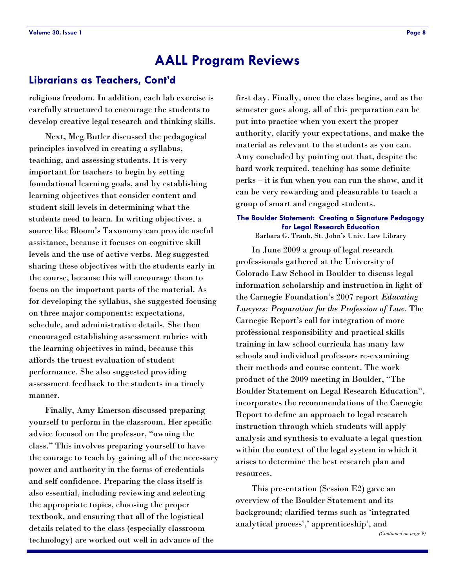### **Librarians as Teachers, Cont'd**

religious freedom. In addition, each lab exercise is carefully structured to encourage the students to develop creative legal research and thinking skills.

Next, Meg Butler discussed the pedagogical principles involved in creating a syllabus, teaching, and assessing students. It is very important for teachers to begin by setting foundational learning goals, and by establishing learning objectives that consider content and student skill levels in determining what the students need to learn. In writing objectives, a source like Bloom's Taxonomy can provide useful assistance, because it focuses on cognitive skill levels and the use of active verbs. Meg suggested sharing these objectives with the students early in the course, because this will encourage them to focus on the important parts of the material. As for developing the syllabus, she suggested focusing on three major components: expectations, schedule, and administrative details. She then encouraged establishing assessment rubrics with the learning objectives in mind, because this affords the truest evaluation of student performance. She also suggested providing assessment feedback to the students in a timely manner.

Finally, Amy Emerson discussed preparing yourself to perform in the classroom. Her specific advice focused on the professor, "owning the class.‖ This involves preparing yourself to have the courage to teach by gaining all of the necessary power and authority in the forms of credentials and self confidence. Preparing the class itself is also essential, including reviewing and selecting the appropriate topics, choosing the proper textbook, and ensuring that all of the logistical details related to the class (especially classroom technology) are worked out well in advance of the

first day. Finally, once the class begins, and as the semester goes along, all of this preparation can be put into practice when you exert the proper authority, clarify your expectations, and make the material as relevant to the students as you can. Amy concluded by pointing out that, despite the hard work required, teaching has some definite perks – it is fun when you can run the show, and it can be very rewarding and pleasurable to teach a group of smart and engaged students.

#### **The Boulder Statement: Creating a Signature Pedagogy for Legal Research Education**

Barbara G. Traub, St. John's Univ. Law Library

In June 2009 a group of legal research professionals gathered at the University of Colorado Law School in Boulder to discuss legal information scholarship and instruction in light of the Carnegie Foundation's 2007 report *Educating Lawyers: Preparation for the Profession of Law*. The Carnegie Report's call for integration of more professional responsibility and practical skills training in law school curricula has many law schools and individual professors re-examining their methods and course content. The work product of the 2009 meeting in Boulder, "The Boulder Statement on Legal Research Education", incorporates the recommendations of the Carnegie Report to define an approach to legal research instruction through which students will apply analysis and synthesis to evaluate a legal question within the context of the legal system in which it arises to determine the best research plan and resources.

This presentation (Session E2) gave an overview of the Boulder Statement and its background; clarified terms such as 'integrated analytical process',' apprenticeship', and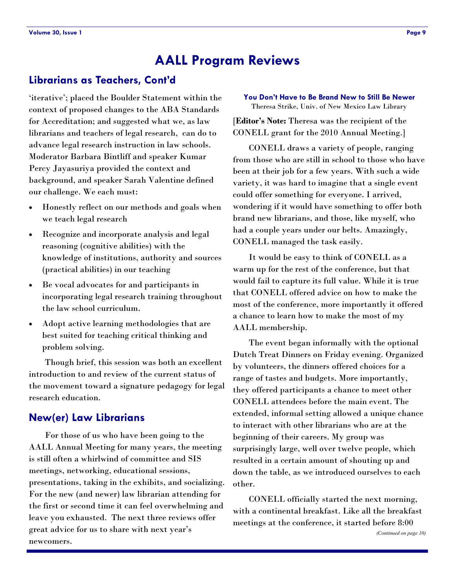### <span id="page-8-0"></span>**Librarians as Teachers, Cont'd**

‗iterative'; placed the Boulder Statement within the context of proposed changes to the ABA Standards for Accreditation; and suggested what we, as law librarians and teachers of legal research, can do to advance legal research instruction in law schools. Moderator Barbara Bintliff and speaker Kumar Percy Jayasuriya provided the context and background, and speaker Sarah Valentine defined our challenge. We each must:

- Honestly reflect on our methods and goals when we teach legal research
- Recognize and incorporate analysis and legal reasoning (cognitive abilities) with the knowledge of institutions, authority and sources (practical abilities) in our teaching
- Be vocal advocates for and participants in incorporating legal research training throughout the law school curriculum.
- Adopt active learning methodologies that are best suited for teaching critical thinking and problem solving.

Though brief, this session was both an excellent introduction to and review of the current status of the movement toward a signature pedagogy for legal research education.

### **New(er) Law Librarians**

For those of us who have been going to the AALL Annual Meeting for many years, the meeting is still often a whirlwind of committee and SIS meetings, networking, educational sessions, presentations, taking in the exhibits, and socializing. For the new (and newer) law librarian attending for the first or second time it can feel overwhelming and leave you exhausted. The next three reviews offer great advice for us to share with next year's newcomers.

#### **You Don't Have to Be Brand New to Still Be Newer** Theresa Strike, Univ. of New Mexico Law Library

[**Editor's Note:** Theresa was the recipient of the CONELL grant for the 2010 Annual Meeting.]

CONELL draws a variety of people, ranging from those who are still in school to those who have been at their job for a few years. With such a wide variety, it was hard to imagine that a single event could offer something for everyone. I arrived, wondering if it would have something to offer both brand new librarians, and those, like myself, who had a couple years under our belts. Amazingly, CONELL managed the task easily.

It would be easy to think of CONELL as a warm up for the rest of the conference, but that would fail to capture its full value. While it is true that CONELL offered advice on how to make the most of the conference, more importantly it offered a chance to learn how to make the most of my AALL membership.

The event began informally with the optional Dutch Treat Dinners on Friday evening. Organized by volunteers, the dinners offered choices for a range of tastes and budgets. More importantly, they offered participants a chance to meet other CONELL attendees before the main event. The extended, informal setting allowed a unique chance to interact with other librarians who are at the beginning of their careers. My group was surprisingly large, well over twelve people, which resulted in a certain amount of shouting up and down the table, as we introduced ourselves to each other.

CONELL officially started the next morning, with a continental breakfast. Like all the breakfast meetings at the conference, it started before 8:00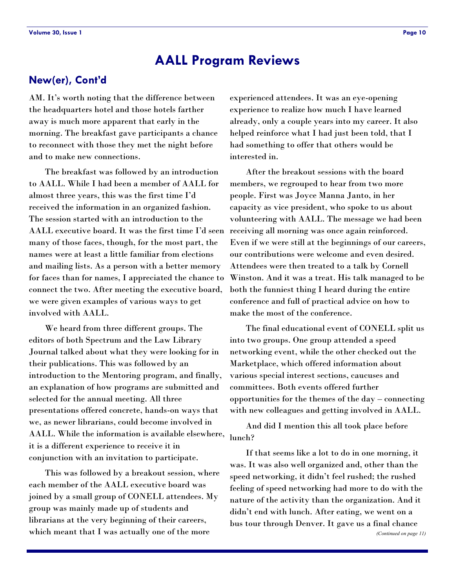### **New(er), Cont'd**

AM. It's worth noting that the difference between the headquarters hotel and those hotels farther away is much more apparent that early in the morning. The breakfast gave participants a chance to reconnect with those they met the night before and to make new connections.

The breakfast was followed by an introduction to AALL. While I had been a member of AALL for almost three years, this was the first time I'd received the information in an organized fashion. The session started with an introduction to the AALL executive board. It was the first time I'd seen many of those faces, though, for the most part, the names were at least a little familiar from elections and mailing lists. As a person with a better memory for faces than for names, I appreciated the chance to connect the two. After meeting the executive board, we were given examples of various ways to get involved with AALL.

We heard from three different groups. The editors of both Spectrum and the Law Library Journal talked about what they were looking for in their publications. This was followed by an introduction to the Mentoring program, and finally, an explanation of how programs are submitted and selected for the annual meeting. All three presentations offered concrete, hands-on ways that we, as newer librarians, could become involved in AALL. While the information is available elsewhere, it is a different experience to receive it in conjunction with an invitation to participate.

This was followed by a breakout session, where each member of the AALL executive board was joined by a small group of CONELL attendees. My group was mainly made up of students and librarians at the very beginning of their careers, which meant that I was actually one of the more

experienced attendees. It was an eye-opening experience to realize how much I have learned already, only a couple years into my career. It also helped reinforce what I had just been told, that I had something to offer that others would be interested in.

After the breakout sessions with the board members, we regrouped to hear from two more people. First was Joyce Manna Janto, in her capacity as vice president, who spoke to us about volunteering with AALL. The message we had been receiving all morning was once again reinforced. Even if we were still at the beginnings of our careers, our contributions were welcome and even desired. Attendees were then treated to a talk by Cornell Winston. And it was a treat. His talk managed to be both the funniest thing I heard during the entire conference and full of practical advice on how to make the most of the conference.

The final educational event of CONELL split us into two groups. One group attended a speed networking event, while the other checked out the Marketplace, which offered information about various special interest sections, caucuses and committees. Both events offered further opportunities for the themes of the day – connecting with new colleagues and getting involved in AALL.

And did I mention this all took place before lunch?

If that seems like a lot to do in one morning, it was. It was also well organized and, other than the speed networking, it didn't feel rushed; the rushed feeling of speed networking had more to do with the nature of the activity than the organization. And it didn't end with lunch. After eating, we went on a bus tour through Denver. It gave us a final chance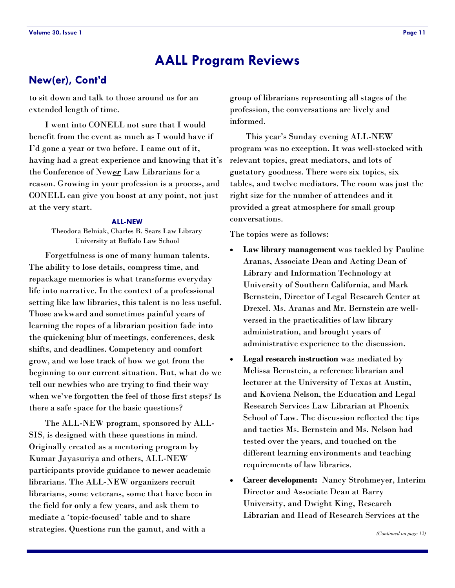### **New(er), Cont'd**

to sit down and talk to those around us for an extended length of time.

I went into CONELL not sure that I would benefit from the event as much as I would have if I'd gone a year or two before. I came out of it, having had a great experience and knowing that it's the Conference of New*er* Law Librarians for a reason. Growing in your profession is a process, and CONELL can give you boost at any point, not just at the very start.

#### **ALL-NEW**

Theodora Belniak, Charles B. Sears Law Library University at Buffalo Law School

Forgetfulness is one of many human talents. The ability to lose details, compress time, and repackage memories is what transforms everyday life into narrative. In the context of a professional setting like law libraries, this talent is no less useful. Those awkward and sometimes painful years of learning the ropes of a librarian position fade into the quickening blur of meetings, conferences, desk shifts, and deadlines. Competency and comfort grow, and we lose track of how we got from the beginning to our current situation. But, what do we tell our newbies who are trying to find their way when we've forgotten the feel of those first steps? Is there a safe space for the basic questions?

The ALL-NEW program, sponsored by ALL-SIS, is designed with these questions in mind. Originally created as a mentoring program by Kumar Jayasuriya and others, ALL-NEW participants provide guidance to newer academic librarians. The ALL-NEW organizers recruit librarians, some veterans, some that have been in the field for only a few years, and ask them to mediate a 'topic-focused' table and to share strategies. Questions run the gamut, and with a

group of librarians representing all stages of the profession, the conversations are lively and informed.

This year's Sunday evening ALL-NEW program was no exception. It was well-stocked with relevant topics, great mediators, and lots of gustatory goodness. There were six topics, six tables, and twelve mediators. The room was just the right size for the number of attendees and it provided a great atmosphere for small group conversations.

The topics were as follows:

- **Law library management** was tackled by Pauline Aranas, Associate Dean and Acting Dean of Library and Information Technology at University of Southern California, and Mark Bernstein, Director of Legal Research Center at Drexel. Ms. Aranas and Mr. Bernstein are wellversed in the practicalities of law library administration, and brought years of administrative experience to the discussion.
- **Legal research instruction** was mediated by Melissa Bernstein, a reference librarian and lecturer at the University of Texas at Austin, and Koviena Nelson, the Education and Legal Research Services Law Librarian at Phoenix School of Law. The discussion reflected the tips and tactics Ms. Bernstein and Ms. Nelson had tested over the years, and touched on the different learning environments and teaching requirements of law libraries.
- **Career development:** Nancy Strohmeyer, Interim Director and Associate Dean at Barry University, and Dwight King, Research Librarian and Head of Research Services at the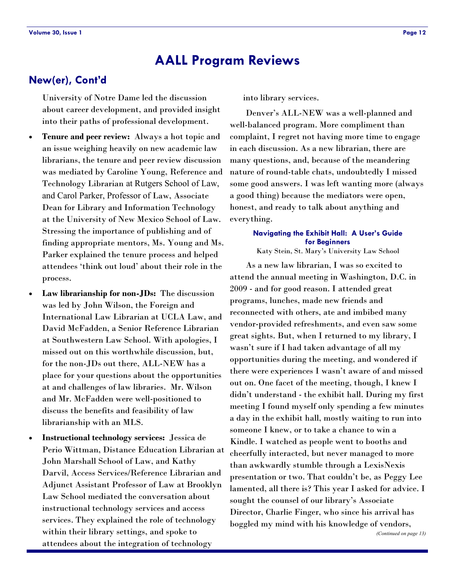### **New(er), Cont'd**

University of Notre Dame led the discussion about career development, and provided insight into their paths of professional development.

- **Tenure and peer review:** Always a hot topic and an issue weighing heavily on new academic law librarians, the tenure and peer review discussion was mediated by Caroline Young, Reference and Technology Librarian at Rutgers School of Law, and Carol Parker, Professor of Law, Associate Dean for Library and Information Technology at the University of New Mexico School of Law. Stressing the importance of publishing and of finding appropriate mentors, Ms. Young and Ms. Parker explained the tenure process and helped attendees ‗think out loud' about their role in the process.
- **Law librarianship for non-JDs:** The discussion was led by John Wilson, the Foreign and International Law Librarian at UCLA Law, and David McFadden, a Senior Reference Librarian at Southwestern Law School. With apologies, I missed out on this worthwhile discussion, but, for the non-JDs out there, ALL-NEW has a place for your questions about the opportunities at and challenges of law libraries. Mr. Wilson and Mr. McFadden were well-positioned to discuss the benefits and feasibility of law librarianship with an MLS.
- **Instructional technology services:** Jessica de Perio Wittman, Distance Education Librarian at John Marshall School of Law, and Kathy Darvil, Access Services/Reference Librarian and Adjunct Assistant Professor of Law at Brooklyn Law School mediated the conversation about instructional technology services and access services. They explained the role of technology within their library settings, and spoke to attendees about the integration of technology

into library services.

Denver's ALL-NEW was a well-planned and well-balanced program. More compliment than complaint, I regret not having more time to engage in each discussion. As a new librarian, there are many questions, and, because of the meandering nature of round-table chats, undoubtedly I missed some good answers. I was left wanting more (always a good thing) because the mediators were open, honest, and ready to talk about anything and everything.

#### **Navigating the Exhibit Hall: A User's Guide for Beginners**

Katy Stein, St. Mary's University Law School

As a new law librarian, I was so excited to attend the annual meeting in Washington, D.C. in 2009 - and for good reason. I attended great programs, lunches, made new friends and reconnected with others, ate and imbibed many vendor-provided refreshments, and even saw some great sights. But, when I returned to my library, I wasn't sure if I had taken advantage of all my opportunities during the meeting, and wondered if there were experiences I wasn't aware of and missed out on. One facet of the meeting, though, I knew I didn't understand - the exhibit hall. During my first meeting I found myself only spending a few minutes a day in the exhibit hall, mostly waiting to run into someone I knew, or to take a chance to win a Kindle. I watched as people went to booths and cheerfully interacted, but never managed to more than awkwardly stumble through a LexisNexis presentation or two. That couldn't be, as Peggy Lee lamented, all there is? This year I asked for advice. I sought the counsel of our library's Associate Director, Charlie Finger, who since his arrival has boggled my mind with his knowledge of vendors,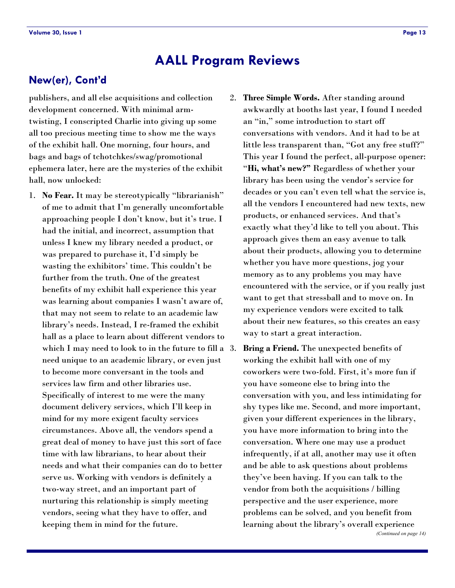### <span id="page-12-0"></span>**New(er), Cont'd**

publishers, and all else acquisitions and collection development concerned. With minimal armtwisting, I conscripted Charlie into giving up some all too precious meeting time to show me the ways of the exhibit hall. One morning, four hours, and bags and bags of tchotchkes/swag/promotional ephemera later, here are the mysteries of the exhibit hall, now unlocked:

- 1. No Fear. It may be stereotypically "librarianish" of me to admit that I'm generally uncomfortable approaching people I don't know, but it's true. I had the initial, and incorrect, assumption that unless I knew my library needed a product, or was prepared to purchase it, I'd simply be wasting the exhibitors' time. This couldn't be further from the truth. One of the greatest benefits of my exhibit hall experience this year was learning about companies I wasn't aware of, that may not seem to relate to an academic law library's needs. Instead, I re-framed the exhibit hall as a place to learn about different vendors to which I may need to look to in the future to fill a 3. need unique to an academic library, or even just to become more conversant in the tools and services law firm and other libraries use. Specifically of interest to me were the many document delivery services, which I'll keep in mind for my more exigent faculty services circumstances. Above all, the vendors spend a great deal of money to have just this sort of face time with law librarians, to hear about their needs and what their companies can do to better serve us. Working with vendors is definitely a two-way street, and an important part of nurturing this relationship is simply meeting vendors, seeing what they have to offer, and keeping them in mind for the future.
- 2. **Three Simple Words.** After standing around awkwardly at booths last year, I found I needed an "in," some introduction to start off conversations with vendors. And it had to be at little less transparent than, "Got any free stuff?" This year I found the perfect, all-purpose opener: ―**Hi, what's new?"** Regardless of whether your library has been using the vendor's service for decades or you can't even tell what the service is, all the vendors I encountered had new texts, new products, or enhanced services. And that's exactly what they'd like to tell you about. This approach gives them an easy avenue to talk about their products, allowing you to determine whether you have more questions, jog your memory as to any problems you may have encountered with the service, or if you really just want to get that stressball and to move on. In my experience vendors were excited to talk about their new features, so this creates an easy way to start a great interaction.
	- **Bring a Friend.** The unexpected benefits of working the exhibit hall with one of my coworkers were two-fold. First, it's more fun if you have someone else to bring into the conversation with you, and less intimidating for shy types like me. Second, and more important, given your different experiences in the library, you have more information to bring into the conversation. Where one may use a product infrequently, if at all, another may use it often and be able to ask questions about problems they've been having. If you can talk to the vendor from both the acquisitions / billing perspective and the user experience, more problems can be solved, and you benefit from learning about the library's overall experience *(Continued on page 14)*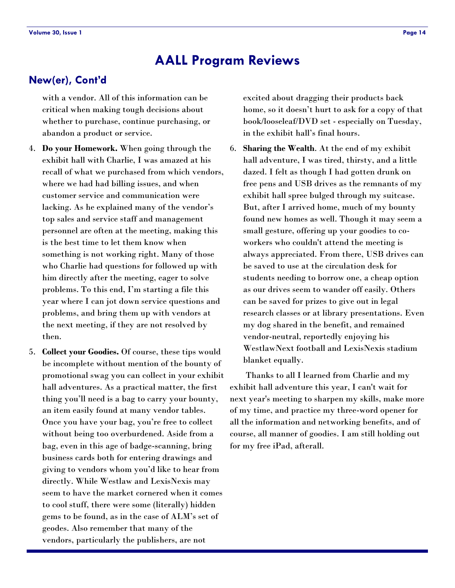### **New(er), Cont'd**

with a vendor. All of this information can be critical when making tough decisions about whether to purchase, continue purchasing, or abandon a product or service.

- 4. **Do your Homework.** When going through the exhibit hall with Charlie, I was amazed at his recall of what we purchased from which vendors, where we had had billing issues, and when customer service and communication were lacking. As he explained many of the vendor's top sales and service staff and management personnel are often at the meeting, making this is the best time to let them know when something is not working right. Many of those who Charlie had questions for followed up with him directly after the meeting, eager to solve problems. To this end, I'm starting a file this year where I can jot down service questions and problems, and bring them up with vendors at the next meeting, if they are not resolved by then.
- 5. **Collect your Goodies.** Of course, these tips would be incomplete without mention of the bounty of promotional swag you can collect in your exhibit hall adventures. As a practical matter, the first thing you'll need is a bag to carry your bounty, an item easily found at many vendor tables. Once you have your bag, you're free to collect without being too overburdened. Aside from a bag, even in this age of badge-scanning, bring business cards both for entering drawings and giving to vendors whom you'd like to hear from directly. While Westlaw and LexisNexis may seem to have the market cornered when it comes to cool stuff, there were some (literally) hidden gems to be found, as in the case of ALM's set of geodes. Also remember that many of the vendors, particularly the publishers, are not

excited about dragging their products back home, so it doesn't hurt to ask for a copy of that book/looseleaf/DVD set - especially on Tuesday, in the exhibit hall's final hours.

6. **Sharing the Wealth**. At the end of my exhibit hall adventure, I was tired, thirsty, and a little dazed. I felt as though I had gotten drunk on free pens and USB drives as the remnants of my exhibit hall spree bulged through my suitcase. But, after I arrived home, much of my bounty found new homes as well. Though it may seem a small gesture, offering up your goodies to coworkers who couldn't attend the meeting is always appreciated. From there, USB drives can be saved to use at the circulation desk for students needing to borrow one, a cheap option as our drives seem to wander off easily. Others can be saved for prizes to give out in legal research classes or at library presentations. Even my dog shared in the benefit, and remained vendor-neutral, reportedly enjoying his WestlawNext football and LexisNexis stadium blanket equally.

Thanks to all I learned from Charlie and my exhibit hall adventure this year, I can't wait for next year's meeting to sharpen my skills, make more of my time, and practice my three-word opener for all the information and networking benefits, and of course, all manner of goodies. I am still holding out for my free iPad, afterall.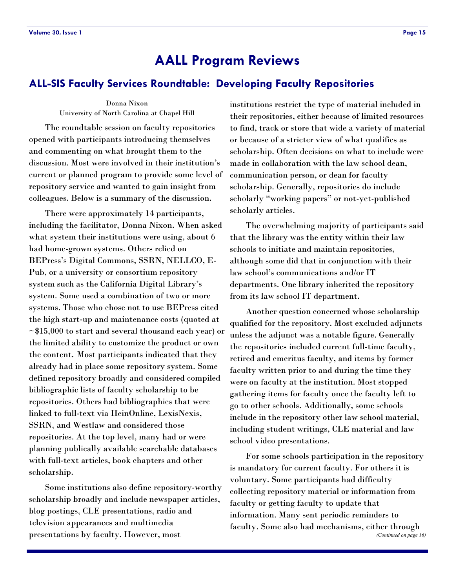#### <span id="page-14-0"></span>**ALL-SIS Faculty Services Roundtable: Developing Faculty Repositories**

Donna Nixon University of North Carolina at Chapel Hill

The roundtable session on faculty repositories opened with participants introducing themselves and commenting on what brought them to the discussion. Most were involved in their institution's current or planned program to provide some level of repository service and wanted to gain insight from colleagues. Below is a summary of the discussion.

There were approximately 14 participants, including the facilitator, Donna Nixon. When asked what system their institutions were using, about 6 had home-grown systems. Others relied on BEPress's Digital Commons, SSRN, NELLCO, E-Pub, or a university or consortium repository system such as the California Digital Library's system. Some used a combination of two or more systems. Those who chose not to use BEPress cited the high start-up and maintenance costs (quoted at  $\sim$ \$15,000 to start and several thousand each year) or the limited ability to customize the product or own the content. Most participants indicated that they already had in place some repository system. Some defined repository broadly and considered compiled bibliographic lists of faculty scholarship to be repositories. Others had bibliographies that were linked to full-text via HeinOnline, LexisNexis, SSRN, and Westlaw and considered those repositories. At the top level, many had or were planning publically available searchable databases with full-text articles, book chapters and other scholarship.

Some institutions also define repository-worthy scholarship broadly and include newspaper articles, blog postings, CLE presentations, radio and television appearances and multimedia presentations by faculty. However, most

institutions restrict the type of material included in their repositories, either because of limited resources to find, track or store that wide a variety of material or because of a stricter view of what qualifies as scholarship. Often decisions on what to include were made in collaboration with the law school dean, communication person, or dean for faculty scholarship. Generally, repositories do include scholarly "working papers" or not-yet-published scholarly articles.

The overwhelming majority of participants said that the library was the entity within their law schools to initiate and maintain repositories, although some did that in conjunction with their law school's communications and/or IT departments. One library inherited the repository from its law school IT department.

Another question concerned whose scholarship qualified for the repository. Most excluded adjuncts unless the adjunct was a notable figure. Generally the repositories included current full-time faculty, retired and emeritus faculty, and items by former faculty written prior to and during the time they were on faculty at the institution. Most stopped gathering items for faculty once the faculty left to go to other schools. Additionally, some schools include in the repository other law school material, including student writings, CLE material and law school video presentations.

For some schools participation in the repository is mandatory for current faculty. For others it is voluntary. Some participants had difficulty collecting repository material or information from faculty or getting faculty to update that information. Many sent periodic reminders to faculty. Some also had mechanisms, either through *(Continued on page 16)*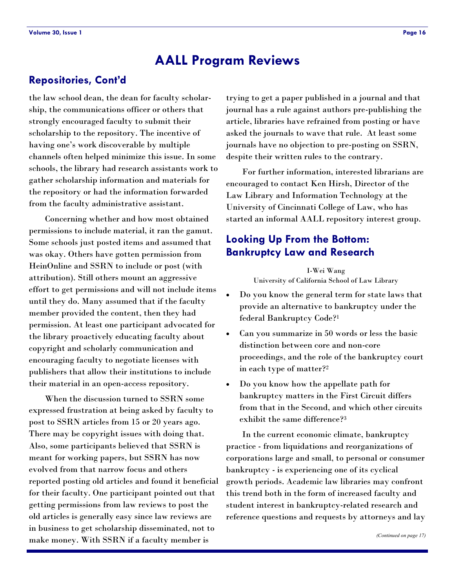### **Repositories, Cont'd**

the law school dean, the dean for faculty scholarship, the communications officer or others that strongly encouraged faculty to submit their scholarship to the repository. The incentive of having one's work discoverable by multiple channels often helped minimize this issue. In some schools, the library had research assistants work to gather scholarship information and materials for the repository or had the information forwarded from the faculty administrative assistant.

Concerning whether and how most obtained permissions to include material, it ran the gamut. Some schools just posted items and assumed that was okay. Others have gotten permission from HeinOnline and SSRN to include or post (with attribution). Still others mount an aggressive effort to get permissions and will not include items until they do. Many assumed that if the faculty member provided the content, then they had permission. At least one participant advocated for the library proactively educating faculty about copyright and scholarly communication and encouraging faculty to negotiate licenses with publishers that allow their institutions to include their material in an open-access repository.

When the discussion turned to SSRN some expressed frustration at being asked by faculty to post to SSRN articles from 15 or 20 years ago. There may be copyright issues with doing that. Also, some participants believed that SSRN is meant for working papers, but SSRN has now evolved from that narrow focus and others reported posting old articles and found it beneficial for their faculty. One participant pointed out that getting permissions from law reviews to post the old articles is generally easy since law reviews are in business to get scholarship disseminated, not to make money. With SSRN if a faculty member is

trying to get a paper published in a journal and that journal has a rule against authors pre-publishing the article, libraries have refrained from posting or have asked the journals to wave that rule. At least some journals have no objection to pre-posting on SSRN, despite their written rules to the contrary.

For further information, interested librarians are encouraged to contact Ken Hirsh, Director of the Law Library and Information Technology at the University of Cincinnati College of Law, who has started an informal AALL repository interest group.

### **Looking Up From the Bottom: Bankruptcy Law and Research**

I-Wei Wang University of California School of Law Library

- Do you know the general term for state laws that provide an alternative to bankruptcy under the federal Bankruptcy Code?<sup>1</sup>
- Can you summarize in 50 words or less the basic distinction between core and non-core proceedings, and the role of the bankruptcy court in each type of matter?<sup>2</sup>
- Do you know how the appellate path for bankruptcy matters in the First Circuit differs from that in the Second, and which other circuits exhibit the same difference?<sup>3</sup>

In the current economic climate, bankruptcy practice - from liquidations and reorganizations of corporations large and small, to personal or consumer bankruptcy - is experiencing one of its cyclical growth periods. Academic law libraries may confront this trend both in the form of increased faculty and student interest in bankruptcy-related research and reference questions and requests by attorneys and lay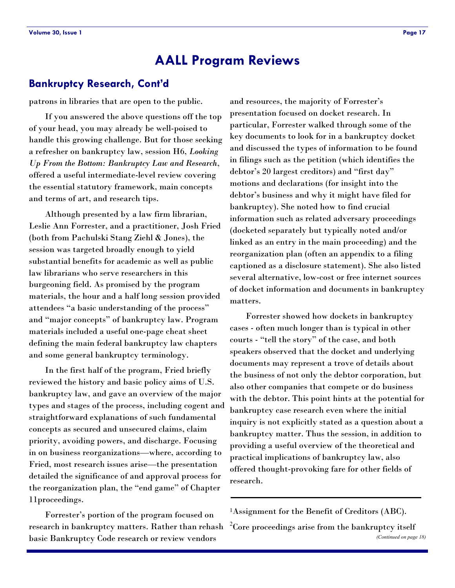### <span id="page-16-0"></span>**Bankruptcy Research, Cont'd**

patrons in libraries that are open to the public.

If you answered the above questions off the top of your head, you may already be well-poised to handle this growing challenge. But for those seeking a refresher on bankruptcy law, session H6, *Looking Up From the Bottom: Bankruptcy Law and Research*, offered a useful intermediate-level review covering the essential statutory framework, main concepts and terms of art, and research tips.

Although presented by a law firm librarian, Leslie Ann Forrester, and a practitioner, Josh Fried (both from Pachulski Stang Ziehl & Jones), the session was targeted broadly enough to yield substantial benefits for academic as well as public law librarians who serve researchers in this burgeoning field. As promised by the program materials, the hour and a half long session provided attendees "a basic understanding of the process" and "major concepts" of bankruptcy law. Program materials included a useful one-page cheat sheet defining the main federal bankruptcy law chapters and some general bankruptcy terminology.

In the first half of the program, Fried briefly reviewed the history and basic policy aims of U.S. bankruptcy law, and gave an overview of the major types and stages of the process, including cogent and straightforward explanations of such fundamental concepts as secured and unsecured claims, claim priority, avoiding powers, and discharge. Focusing in on business reorganizations—where, according to Fried, most research issues arise—the presentation detailed the significance of and approval process for the reorganization plan, the "end game" of Chapter 11proceedings.

Forrester's portion of the program focused on research in bankruptcy matters. Rather than rehash basic Bankruptcy Code research or review vendors

and resources, the majority of Forrester's presentation focused on docket research. In particular, Forrester walked through some of the key documents to look for in a bankruptcy docket and discussed the types of information to be found in filings such as the petition (which identifies the debtor's 20 largest creditors) and "first day" motions and declarations (for insight into the debtor's business and why it might have filed for bankruptcy). She noted how to find crucial information such as related adversary proceedings (docketed separately but typically noted and/or linked as an entry in the main proceeding) and the reorganization plan (often an appendix to a filing captioned as a disclosure statement). She also listed several alternative, low-cost or free internet sources of docket information and documents in bankruptcy matters.

Forrester showed how dockets in bankruptcy cases - often much longer than is typical in other courts - "tell the story" of the case, and both speakers observed that the docket and underlying documents may represent a trove of details about the business of not only the debtor corporation, but also other companies that compete or do business with the debtor. This point hints at the potential for bankruptcy case research even where the initial inquiry is not explicitly stated as a question about a bankruptcy matter. Thus the session, in addition to providing a useful overview of the theoretical and practical implications of bankruptcy law, also offered thought-provoking fare for other fields of research.

<sup>1</sup>Assignment for the Benefit of Creditors (ABC).

 $2^2$ Core proceedings arise from the bankruptcy itself *(Continued on page 18)*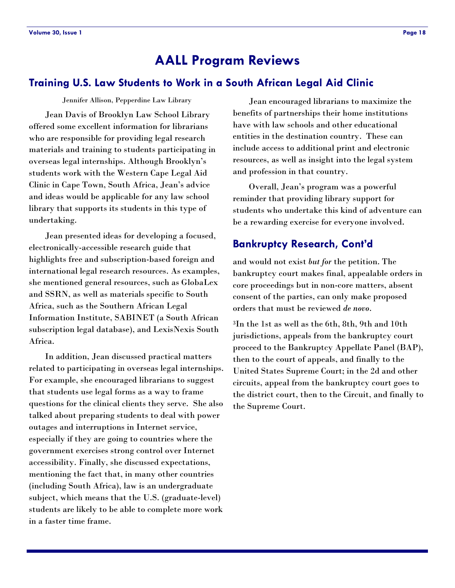### <span id="page-17-0"></span>**Training U.S. Law Students to Work in a South African Legal Aid Clinic**

Jennifer Allison, Pepperdine Law Library

Jean Davis of Brooklyn Law School Library offered some excellent information for librarians who are responsible for providing legal research materials and training to students participating in overseas legal internships. Although Brooklyn's students work with the Western Cape Legal Aid Clinic in Cape Town, South Africa, Jean's advice and ideas would be applicable for any law school library that supports its students in this type of undertaking.

Jean presented ideas for developing a focused, electronically-accessible research guide that highlights free and subscription-based foreign and international legal research resources. As examples, she mentioned general resources, such as GlobaLex and SSRN, as well as materials specific to South Africa, such as the Southern African Legal Information Institute, SABINET (a South African subscription legal database), and LexisNexis South Africa.

In addition, Jean discussed practical matters related to participating in overseas legal internships. For example, she encouraged librarians to suggest that students use legal forms as a way to frame questions for the clinical clients they serve. She also talked about preparing students to deal with power outages and interruptions in Internet service, especially if they are going to countries where the government exercises strong control over Internet accessibility. Finally, she discussed expectations, mentioning the fact that, in many other countries (including South Africa), law is an undergraduate subject, which means that the U.S. (graduate-level) students are likely to be able to complete more work in a faster time frame.

Jean encouraged librarians to maximize the benefits of partnerships their home institutions have with law schools and other educational entities in the destination country. These can include access to additional print and electronic resources, as well as insight into the legal system and profession in that country.

Overall, Jean's program was a powerful reminder that providing library support for students who undertake this kind of adventure can be a rewarding exercise for everyone involved.

### **Bankruptcy Research, Cont'd**

and would not exist *but for* the petition. The bankruptcy court makes final, appealable orders in core proceedings but in non-core matters, absent consent of the parties, can only make proposed orders that must be reviewed *de novo*.

<sup>3</sup>In the 1st as well as the 6th, 8th, 9th and 10th jurisdictions, appeals from the bankruptcy court proceed to the Bankruptcy Appellate Panel (BAP), then to the court of appeals, and finally to the United States Supreme Court; in the 2d and other circuits, appeal from the bankruptcy court goes to the district court, then to the Circuit, and finally to the Supreme Court.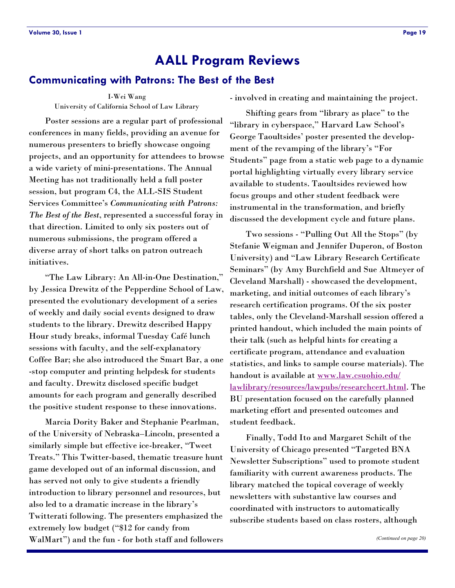#### <span id="page-18-0"></span>**Communicating with Patrons: The Best of the Best**

I-Wei Wang

University of California School of Law Library

Poster sessions are a regular part of professional conferences in many fields, providing an avenue for numerous presenters to briefly showcase ongoing projects, and an opportunity for attendees to browse a wide variety of mini-presentations. The Annual Meeting has not traditionally held a full poster session, but program C4, the ALL-SIS Student Services Committee's *Communicating with Patrons: The Best of the Best*, represented a successful foray in that direction. Limited to only six posters out of numerous submissions, the program offered a diverse array of short talks on patron outreach initiatives.

"The Law Library: An All-in-One Destination," by Jessica Drewitz of the Pepperdine School of Law, presented the evolutionary development of a series of weekly and daily social events designed to draw students to the library. Drewitz described Happy Hour study breaks, informal Tuesday Café lunch sessions with faculty, and the self-explanatory Coffee Bar; she also introduced the Smart Bar, a one -stop computer and printing helpdesk for students and faculty. Drewitz disclosed specific budget amounts for each program and generally described the positive student response to these innovations.

Marcia Dority Baker and Stephanie Pearlman, of the University of Nebraska–Lincoln, presented a similarly simple but effective ice-breaker, "Tweet" Treats.‖ This Twitter-based, thematic treasure hunt game developed out of an informal discussion, and has served not only to give students a friendly introduction to library personnel and resources, but also led to a dramatic increase in the library's Twitterati following. The presenters emphasized the extremely low budget ("\$12 for candy from WalMart") and the fun - for both staff and followers

- involved in creating and maintaining the project.

Shifting gears from "library as place" to the "library in cyberspace," Harvard Law School's George Taoultsides' poster presented the development of the revamping of the library's "For Students" page from a static web page to a dynamic portal highlighting virtually every library service available to students. Taoultsides reviewed how focus groups and other student feedback were instrumental in the transformation, and briefly discussed the development cycle and future plans.

Two sessions - "Pulling Out All the Stops" (by Stefanie Weigman and Jennifer Duperon, of Boston University) and "Law Library Research Certificate Seminars" (by Amy Burchfield and Sue Altmeyer of Cleveland Marshall) - showcased the development, marketing, and initial outcomes of each library's research certification programs. Of the six poster tables, only the Cleveland-Marshall session offered a printed handout, which included the main points of their talk (such as helpful hints for creating a certificate program, attendance and evaluation statistics, and links to sample course materials). The handout is available at [www.law.csuohio.edu/](http://www.law.csuohio.edu/lawlibrary/resources/lawpubs/researchcert.html) [lawlibrary/resources/lawpubs/researchcert.html.](http://www.law.csuohio.edu/lawlibrary/resources/lawpubs/researchcert.html) The BU presentation focused on the carefully planned marketing effort and presented outcomes and student feedback.

Finally, Todd Ito and Margaret Schilt of the University of Chicago presented "Targeted BNA Newsletter Subscriptions" used to promote student familiarity with current awareness products. The library matched the topical coverage of weekly newsletters with substantive law courses and coordinated with instructors to automatically subscribe students based on class rosters, although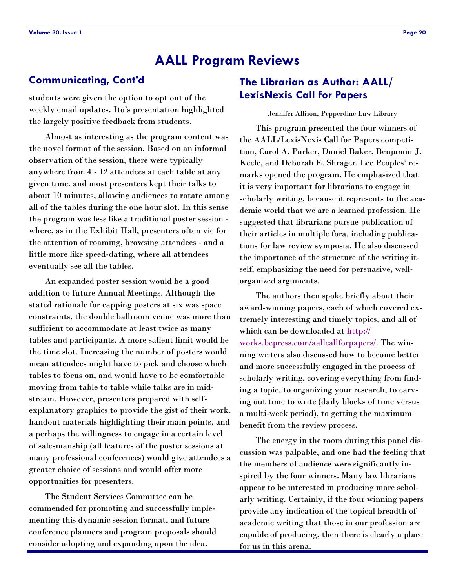### <span id="page-19-0"></span>**Communicating, Cont'd**

students were given the option to opt out of the weekly email updates. Ito's presentation highlighted the largely positive feedback from students.

Almost as interesting as the program content was the novel format of the session. Based on an informal observation of the session, there were typically anywhere from 4 - 12 attendees at each table at any given time, and most presenters kept their talks to about 10 minutes, allowing audiences to rotate among all of the tables during the one hour slot. In this sense the program was less like a traditional poster session where, as in the Exhibit Hall, presenters often vie for the attention of roaming, browsing attendees - and a little more like speed-dating, where all attendees eventually see all the tables.

An expanded poster session would be a good addition to future Annual Meetings. Although the stated rationale for capping posters at six was space constraints, the double ballroom venue was more than sufficient to accommodate at least twice as many tables and participants. A more salient limit would be the time slot. Increasing the number of posters would mean attendees might have to pick and choose which tables to focus on, and would have to be comfortable moving from table to table while talks are in midstream. However, presenters prepared with selfexplanatory graphics to provide the gist of their work, handout materials highlighting their main points, and a perhaps the willingness to engage in a certain level of salesmanship (all features of the poster sessions at many professional conferences) would give attendees a greater choice of sessions and would offer more opportunities for presenters.

The Student Services Committee can be commended for promoting and successfully implementing this dynamic session format, and future conference planners and program proposals should consider adopting and expanding upon the idea.

### **The Librarian as Author: AALL/ LexisNexis Call for Papers**

Jennifer Allison, Pepperdine Law Library

This program presented the four winners of the AALL/LexisNexis Call for Papers competition, Carol A. Parker, Daniel Baker, Benjamin J. Keele, and Deborah E. Shrager. Lee Peoples' remarks opened the program. He emphasized that it is very important for librarians to engage in scholarly writing, because it represents to the academic world that we are a learned profession. He suggested that librarians pursue publication of their articles in multiple fora, including publications for law review symposia. He also discussed the importance of the structure of the writing itself, emphasizing the need for persuasive, wellorganized arguments.

The authors then spoke briefly about their award-winning papers, each of which covered extremely interesting and timely topics, and all of which can be downloaded at [http://](http://works.bepress.com/aallcallforpapers/) [works.bepress.com/aallcallforpapers/.](http://works.bepress.com/aallcallforpapers/) The winning writers also discussed how to become better and more successfully engaged in the process of scholarly writing, covering everything from finding a topic, to organizing your research, to carving out time to write (daily blocks of time versus a multi-week period), to getting the maximum benefit from the review process.

The energy in the room during this panel discussion was palpable, and one had the feeling that the members of audience were significantly inspired by the four winners. Many law librarians appear to be interested in producing more scholarly writing. Certainly, if the four winning papers provide any indication of the topical breadth of academic writing that those in our profession are capable of producing, then there is clearly a place for us in this arena.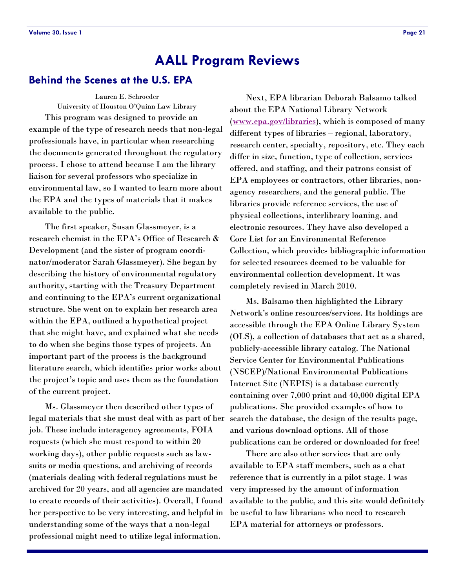#### <span id="page-20-0"></span>**Behind the Scenes at the U.S. EPA**

Lauren E. Schroeder

University of Houston O'Quinn Law Library This program was designed to provide an example of the type of research needs that non-legal professionals have, in particular when researching the documents generated throughout the regulatory process. I chose to attend because I am the library liaison for several professors who specialize in environmental law, so I wanted to learn more about the EPA and the types of materials that it makes available to the public.

The first speaker, Susan Glassmeyer, is a research chemist in the EPA's Office of Research & Development (and the sister of program coordinator/moderator Sarah Glassmeyer). She began by describing the history of environmental regulatory authority, starting with the Treasury Department and continuing to the EPA's current organizational structure. She went on to explain her research area within the EPA, outlined a hypothetical project that she might have, and explained what she needs to do when she begins those types of projects. An important part of the process is the background literature search, which identifies prior works about the project's topic and uses them as the foundation of the current project.

Ms. Glassmeyer then described other types of legal materials that she must deal with as part of her job. These include interagency agreements, FOIA requests (which she must respond to within 20 working days), other public requests such as lawsuits or media questions, and archiving of records (materials dealing with federal regulations must be archived for 20 years, and all agencies are mandated to create records of their activities). Overall, I found her perspective to be very interesting, and helpful in understanding some of the ways that a non-legal professional might need to utilize legal information.

Next, EPA librarian Deborah Balsamo talked about the EPA National Library Network [\(www.epa.gov/libraries\),](http://www.epa.gov/libraries) which is composed of many different types of libraries – regional, laboratory, research center, specialty, repository, etc. They each differ in size, function, type of collection, services offered, and staffing, and their patrons consist of EPA employees or contractors, other libraries, nonagency researchers, and the general public. The libraries provide reference services, the use of physical collections, interlibrary loaning, and electronic resources. They have also developed a Core List for an Environmental Reference Collection, which provides bibliographic information for selected resources deemed to be valuable for environmental collection development. It was completely revised in March 2010.

Ms. Balsamo then highlighted the Library Network's online resources/services. Its holdings are accessible through the EPA Online Library System (OLS), a collection of databases that act as a shared, publicly-accessible library catalog. The National Service Center for Environmental Publications (NSCEP)/National Environmental Publications Internet Site (NEPIS) is a database currently containing over 7,000 print and 40,000 digital EPA publications. She provided examples of how to search the database, the design of the results page, and various download options. All of those publications can be ordered or downloaded for free!

There are also other services that are only available to EPA staff members, such as a chat reference that is currently in a pilot stage. I was very impressed by the amount of information available to the public, and this site would definitely be useful to law librarians who need to research EPA material for attorneys or professors.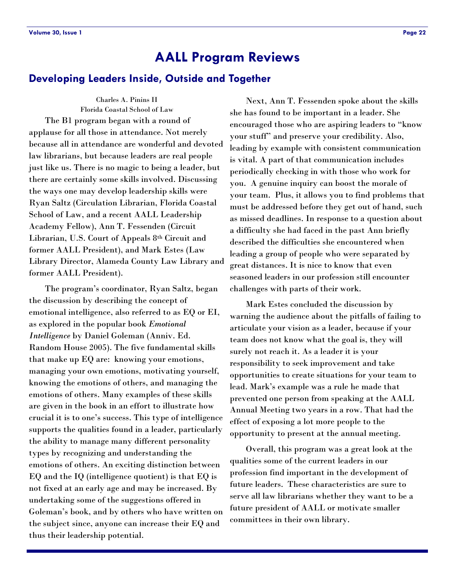#### <span id="page-21-0"></span>**Developing Leaders Inside, Outside and Together**

Charles A. Pinins II Florida Coastal School of Law The B1 program began with a round of applause for all those in attendance. Not merely because all in attendance are wonderful and devoted law librarians, but because leaders are real people just like us. There is no magic to being a leader, but there are certainly some skills involved. Discussing the ways one may develop leadership skills were Ryan Saltz (Circulation Librarian, Florida Coastal School of Law, and a recent AALL Leadership Academy Fellow), Ann T. Fessenden (Circuit Librarian, U.S. Court of Appeals 8th Circuit and former AALL President), and Mark Estes (Law Library Director, Alameda County Law Library and former AALL President).

The program's coordinator, Ryan Saltz, began the discussion by describing the concept of emotional intelligence, also referred to as EQ or EI, as explored in the popular book *Emotional Intelligence* by Daniel Goleman (Anniv. Ed. Random House 2005). The five fundamental skills that make up EQ are: knowing your emotions, managing your own emotions, motivating yourself, knowing the emotions of others, and managing the emotions of others. Many examples of these skills are given in the book in an effort to illustrate how crucial it is to one's success. This type of intelligence supports the qualities found in a leader, particularly the ability to manage many different personality types by recognizing and understanding the emotions of others. An exciting distinction between EQ and the IQ (intelligence quotient) is that EQ is not fixed at an early age and may be increased. By undertaking some of the suggestions offered in Goleman's book, and by others who have written on the subject since, anyone can increase their EQ and thus their leadership potential.

Next, Ann T. Fessenden spoke about the skills she has found to be important in a leader. She encouraged those who are aspiring leaders to "know" your stuff" and preserve your credibility. Also, leading by example with consistent communication is vital. A part of that communication includes periodically checking in with those who work for you. A genuine inquiry can boost the morale of your team. Plus, it allows you to find problems that must be addressed before they get out of hand, such as missed deadlines. In response to a question about a difficulty she had faced in the past Ann briefly described the difficulties she encountered when leading a group of people who were separated by great distances. It is nice to know that even seasoned leaders in our profession still encounter challenges with parts of their work.

Mark Estes concluded the discussion by warning the audience about the pitfalls of failing to articulate your vision as a leader, because if your team does not know what the goal is, they will surely not reach it. As a leader it is your responsibility to seek improvement and take opportunities to create situations for your team to lead. Mark's example was a rule he made that prevented one person from speaking at the AALL Annual Meeting two years in a row. That had the effect of exposing a lot more people to the opportunity to present at the annual meeting.

Overall, this program was a great look at the qualities some of the current leaders in our profession find important in the development of future leaders. These characteristics are sure to serve all law librarians whether they want to be a future president of AALL or motivate smaller committees in their own library.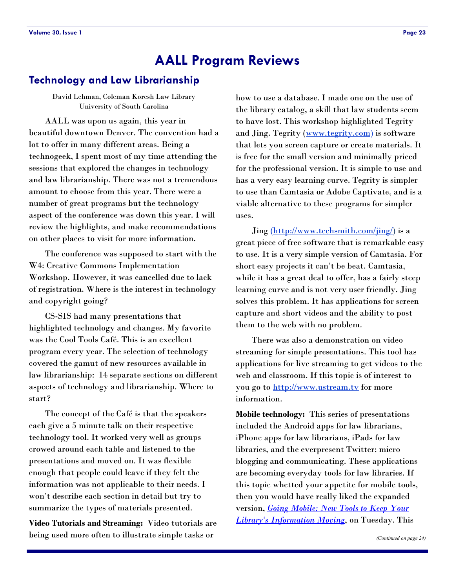### <span id="page-22-0"></span>**Technology and Law Librarianship**

David Lehman, Coleman Koresh Law Library University of South Carolina

AALL was upon us again, this year in beautiful downtown Denver. The convention had a lot to offer in many different areas. Being a technogeek, I spent most of my time attending the sessions that explored the changes in technology and law librarianship. There was not a tremendous amount to choose from this year. There were a number of great programs but the technology aspect of the conference was down this year. I will review the highlights, and make recommendations on other places to visit for more information.

The conference was supposed to start with the W4: Creative Commons Implementation Workshop. However, it was cancelled due to lack of registration. Where is the interest in technology and copyright going?

CS-SIS had many presentations that highlighted technology and changes. My favorite was the Cool Tools Café. This is an excellent program every year. The selection of technology covered the gamut of new resources available in law librarianship: 14 separate sections on different aspects of technology and librarianship. Where to start?

The concept of the Café is that the speakers each give a 5 minute talk on their respective technology tool. It worked very well as groups crowed around each table and listened to the presentations and moved on. It was flexible enough that people could leave if they felt the information was not applicable to their needs. I won't describe each section in detail but try to summarize the types of materials presented.

**Video Tutorials and Streaming:** Video tutorials are being used more often to illustrate simple tasks or

how to use a database. I made one on the use of the library catalog, a skill that law students seem to have lost. This workshop highlighted Tegrity and Jing. Tegrity ([www.tegrity.com\)](http://www.tegrity.com) is software that lets you screen capture or create materials. It is free for the small version and minimally priced for the professional version. It is simple to use and has a very easy learning curve. Tegrity is simpler to use than Camtasia or Adobe Captivate, and is a viable alternative to these programs for simpler uses.

Jing ([http://www.techsmith.com/jing/\)](http://www.techsmith.com/jing/) is a great piece of free software that is remarkable easy to use. It is a very simple version of Camtasia. For short easy projects it can't be beat. Camtasia, while it has a great deal to offer, has a fairly steep learning curve and is not very user friendly. Jing solves this problem. It has applications for screen capture and short videos and the ability to post them to the web with no problem.

There was also a demonstration on video streaming for simple presentations. This tool has applications for live streaming to get videos to the web and classroom. If this topic is of interest to you go to <http://www.ustream.tv> for more information.

**Mobile technology:** This series of presentations included the Android apps for law librarians, iPhone apps for law librarians, iPads for law libraries, and the everpresent Twitter: micro blogging and communicating. These applications are becoming everyday tools for law libraries. If this topic whetted your appetite for mobile tools, then you would have really liked the expanded version, *[Going Mobile: New Tools to Keep Your](http://aall10.sched.org/event/8ee8c78a4138382151c9c0dcaba94969)  [Library's Information Moving](http://aall10.sched.org/event/8ee8c78a4138382151c9c0dcaba94969)*, on Tuesday. This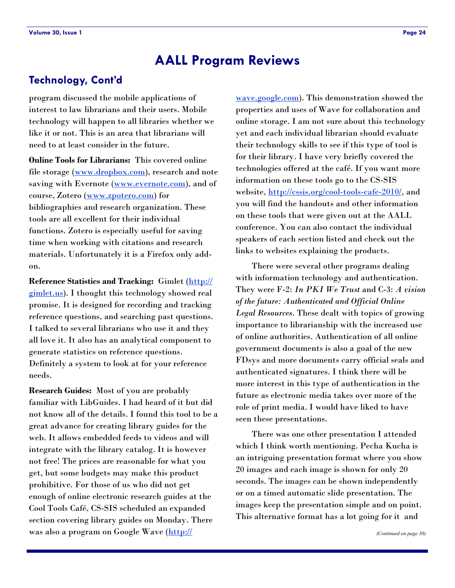### **Technology, Cont'd**

program discussed the mobile applications of interest to law librarians and their users. Mobile technology will happen to all libraries whether we like it or not. This is an area that librarians will need to at least consider in the future.

**Online Tools for Librarians:** This covered online file storage ([www.dropbox.com\)](http://www.dropbox.com), research and note saving with Evernote ([www.evernote.com\)](http://www.evernote.com), and of course, Zotero ([www.zpotero.com\)](file:///C:/Documents%20and%20Settings/lehmannd/Local%20Settings/Temporary%20Internet%20Files/Content.Outlook/7Y3AQNFP/www.zpotero.com) for bibliographies and research organization. These tools are all excellent for their individual functions. Zotero is especially useful for saving time when working with citations and research materials. Unfortunately it is a Firefox only addon.

**Reference Statistics and Tracking:** Gimlet [\(http://](http://gimlet.us) [gimlet.us\).](http://gimlet.us) I thought this technology showed real promise. It is designed for recording and tracking reference questions, and searching past questions. I talked to several librarians who use it and they all love it. It also has an analytical component to generate statistics on reference questions. Definitely a system to look at for your reference needs.

**Research Guides:** Most of you are probably familiar with LibGuides. I had heard of it but did not know all of the details. I found this tool to be a great advance for creating library guides for the web. It allows embedded feeds to videos and will integrate with the library catalog. It is however not free! The prices are reasonable for what you get, but some budgets may make this product prohibitive. For those of us who did not get enough of online electronic research guides at the Cool Tools Café, CS-SIS scheduled an expanded section covering library guides on Monday. There was also a program on Google Wave ([http://](http://wave.google.com)

[wave.google.com\)](http://wave.google.com). This demonstration showed the properties and uses of Wave for collaboration and online storage. I am not sure about this technology yet and each individual librarian should evaluate their technology skills to see if this type of tool is for their library. I have very briefly covered the technologies offered at the café. If you want more information on these tools go to the CS-SIS website, [http://cssis.org/cool-tools-cafe-2010/,](http://cssis.org/cool-tools-cafe-2010/) and you will find the handouts and other information on these tools that were given out at the AALL conference. You can also contact the individual speakers of each section listed and check out the links to websites explaining the products.

There were several other programs dealing with information technology and authentication. They were F-2: *In PKI We Trust* and C-3: *A vision of the future: Authenticated and Official Online Legal Resources*. These dealt with topics of growing importance to librarianship with the increased use of online authorities. Authentication of all online government documents is also a goal of the new FDsys and more documents carry official seals and authenticated signatures. I think there will be more interest in this type of authentication in the future as electronic media takes over more of the role of print media. I would have liked to have seen these presentations.

There was one other presentation I attended which I think worth mentioning. Pecha Kucha is an intriguing presentation format where you show 20 images and each image is shown for only 20 seconds. The images can be shown independently or on a timed automatic slide presentation. The images keep the presentation simple and on point. This alternative format has a lot going for it and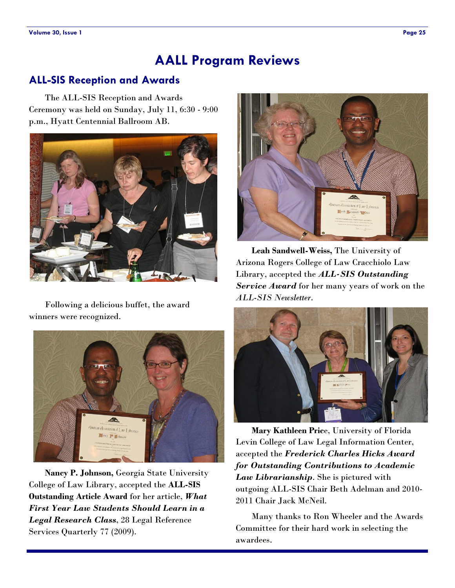### <span id="page-24-0"></span>**ALL-SIS Reception and Awards**

The ALL-SIS Reception and Awards Ceremony was held on Sunday, July 11, 6:30 - 9:00 p.m., Hyatt Centennial Ballroom AB.



Following a delicious buffet, the award winners were recognized.



**Nancy P. Johnson,** Georgia State University College of Law Library, accepted the **ALL-SIS Outstanding Article Award** for her article, *What First Year Law Students Should Learn in a Legal Research Class*, 28 Legal Reference Services Quarterly 77 (2009).



**Leah Sandwell-Weiss,** The University of Arizona Rogers College of Law Cracchiolo Law Library, accepted the *ALL-SIS Outstanding Service Award* for her many years of work on the *ALL-SIS Newsletter*.



**Mary Kathleen Pric**e, University of Florida Levin College of Law Legal Information Center, accepted the *Frederick Charles Hicks Award for Outstanding Contributions to Academic Law Librarianship*. She is pictured with outgoing ALL-SIS Chair Beth Adelman and 2010- 2011 Chair Jack McNeil.

Many thanks to Ron Wheeler and the Awards Committee for their hard work in selecting the awardees.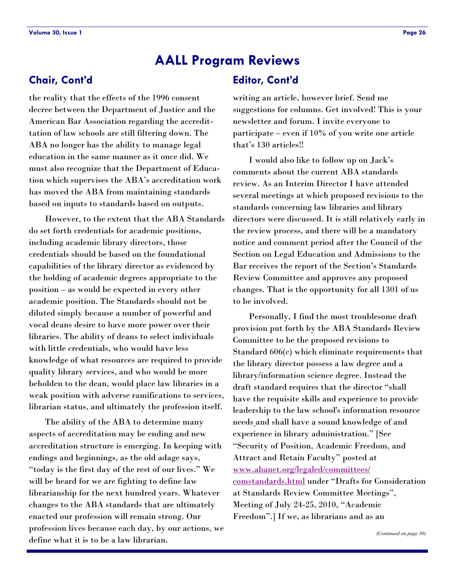### **Chair, Cont'd**

the reality that the effects of the 1996 consent decree between the Department of Justice and the American Bar Association regarding the accredittation of law schools are still filtering down. The ABA no longer has the ability to manage legal education in the same manner as it once did. We must also recognize that the Department of Education which supervises the ABA's accreditation work has moved the ABA from maintaining standards based on inputs to standards based on outputs.

However, to the extent that the ABA Standards do set forth credentials for academic positions, including academic library directors, those credentials should be based on the foundational capabilities of the library director as evidenced by the holding of academic degrees appropriate to the position – as would be expected in every other academic position. The Standards should not be diluted simply because a number of powerful and vocal deans desire to have more power over their libraries. The ability of deans to select individuals with little credentials, who would have less knowledge of what resources are required to provide quality library services, and who would be more beholden to the dean, would place law libraries in a weak position with adverse ramifications to services, librarian status, and ultimately the profession itself.

The ability of the ABA to determine many aspects of accreditation may be ending and new accreditation structure is emerging. In keeping with endings and beginnings, as the old adage says, ―today is the first day of the rest of our lives.‖ We will be heard for we are fighting to define law librarianship for the next hundred years. Whatever changes to the ABA standards that are ultimately enacted our profession will remain strong. Our profession lives because each day, by our actions, we define what it is to be a law librarian.

### **Editor, Cont'd**

writing an article, however brief. Send me suggestions for columns. Get involved! This is your newsletter and forum. I invite everyone to participate – even if 10% of you write one article that's 130 articles!!

I would also like to follow up on Jack's comments about the current ABA standards review. As an Interim Director I have attended several meetings at which proposed revisions to the standards concerning law libraries and library directors were discussed. It is still relatively early in the review process, and there will be a mandatory notice and comment period after the Council of the Section on Legal Education and Admissions to the Bar receives the report of the Section's Standards Review Committee and approves any proposed changes. That is the opportunity for all 1301 of us to be involved.

Personally, I find the most troublesome draft provision put forth by the ABA Standards Review Committee to be the proposed revisions to Standard 606(c) which eliminate requirements that the library director possess a law degree and a library/information science degree. Instead the draft standard requires that the director "shall have the requisite skills and experience to provide leadership to the law school's information resource needs and shall have a sound knowledge of and experience in library administration." [See ―Security of Position, Academic Freedom, and Attract and Retain Faculty" posted at [www.abanet.org/legaled/committees/](http://www.abanet.org/legaled/committees/comstandards.html) [comstandards.html](http://www.abanet.org/legaled/committees/comstandards.html) under "Drafts for Consideration at Standards Review Committee Meetings", Meeting of July 24-25, 2010, "Academic Freedom".] If we, as librarians and as an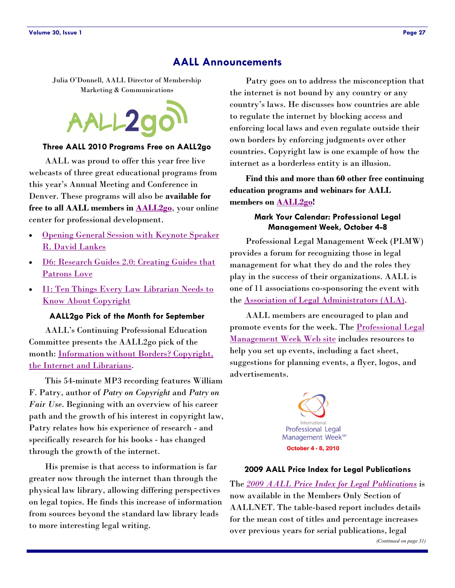#### **AALL Announcements**

Julia O'Donnell, AALL Director of Membership Marketing & Communications



#### **Three AALL 2010 Programs Free on AALL2go**

AALL was proud to offer this year free live webcasts of three great educational programs from this year's Annual Meeting and Conference in Denver. These programs will also be **available for free to all AALL members in [AALL2go](http://www.softconference.com/AALL/default.asp)**, your online center for professional development.

- [Opening General Session with Keynote Speaker](http://www.softconference.com/aall/sessionDetail.asp?SID=208430)  [R. David Lankes](http://www.softconference.com/aall/sessionDetail.asp?SID=208430)
- [D6: Research Guides 2.0: Creating Guides that](http://www.softconference.com/aall/sessionDetail.asp?SID=208454)  [Patrons Love](http://www.softconference.com/aall/sessionDetail.asp?SID=208454)
- [I1: Ten Things Every Law Librarian Needs to](http://www.softconference.com/aall/sessionDetail.asp?SID=208479)  [Know About Copyright](http://www.softconference.com/aall/sessionDetail.asp?SID=208479)

#### **AALL2go Pick of the Month for September**

AALL's Continuing Professional Education Committee presents the AALL2go pick of the month: [Information without Borders? Copyright,](http://www.softconference.com/aall/sessionDetail.asp?SID=169223)  [the Internet and Librarians.](http://www.softconference.com/aall/sessionDetail.asp?SID=169223)

This 54-minute MP3 recording features William F. Patry, author of *Patry on Copyright* and *Patry on Fair Use*. Beginning with an overview of his career path and the growth of his interest in copyright law, Patry relates how his experience of research - and specifically research for his books - has changed through the growth of the internet.

His premise is that access to information is far greater now through the internet than through the physical law library, allowing differing perspectives on legal topics. He finds this increase of information from sources beyond the standard law library leads to more interesting legal writing.

Patry goes on to address the misconception that the internet is not bound by any country or any country's laws. He discusses how countries are able to regulate the internet by blocking access and enforcing local laws and even regulate outside their own borders by enforcing judgments over other countries. Copyright law is one example of how the internet as a borderless entity is an illusion.

**Find this and more than 60 other free continuing education programs and webinars for AALL members on [AALL2go!](http://www.softconference.com/aall/default.asp)**

#### **Mark Your Calendar: Professional Legal Management Week, October 4-8**

Professional Legal Management Week (PLMW) provides a forum for recognizing those in legal management for what they do and the roles they play in the success of their organizations. AALL is one of 11 associations co-sponsoring the event with the [Association of Legal Administrators \(ALA\).](http://www.alanet.org)

AALL members are encouraged to plan and promote events for the week. The [Professional Legal](http://www.plmw.org/)  [Management Week Web site](http://www.plmw.org/) includes resources to help you set up events, including a fact sheet, suggestions for planning events, a flyer, logos, and advertisements.



#### **2009 AALL Price Index for Legal Publications**

The *[2009 AALL Price Index for Legal Publications](http://www.aallnet.org/public/index.asp?reason=denied_empty&script_name=/members/price_index-2009.asp&path_info=/members/price_index-2009.asp)* is now available in the Members Only Section of AALLNET. The table-based report includes details for the mean cost of titles and percentage increases over previous years for serial publications, legal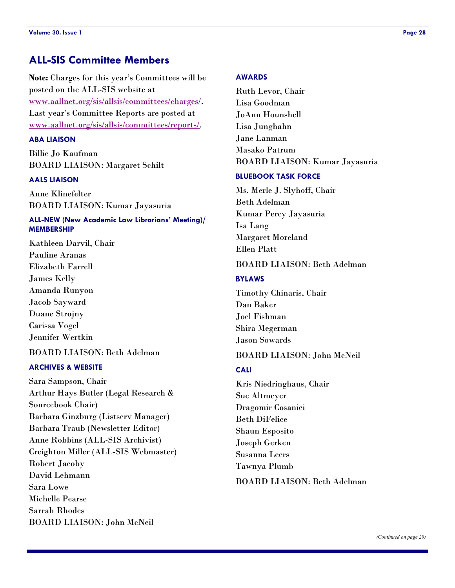**Note:** Charges for this year's Committees will be posted on the ALL-SIS website at [www.aallnet.org/sis/allsis/committees/charges/.](http://www.aallnet.org/sis/allsis/committees/charges/)  Last year's Committee Reports are posted at [www.aallnet.org/sis/allsis/committees/reports/.](http://www.aallnet.org/sis/allsis/committees/reports/) 

#### **ABA LIAISON**

Billie Jo Kaufman BOARD LIAISON: Margaret Schilt

#### **AALS LIAISON**

Anne Klinefelter BOARD LIAISON: Kumar Jayasuria

#### **ALL-NEW (New Academic Law Librarians' Meeting)/ MEMBERSHIP**

Kathleen Darvil, Chair Pauline Aranas Elizabeth Farrell James Kelly Amanda Runyon Jacob Sayward Duane Strojny Carissa Vogel Jennifer Wertkin

### BOARD LIAISON: Beth Adelman

#### **ARCHIVES & WEBSITE**

Sara Sampson, Chair Arthur Hays Butler (Legal Research & Sourcebook Chair) Barbara Ginzburg (Listserv Manager) Barbara Traub (Newsletter Editor) Anne Robbins (ALL-SIS Archivist) Creighton Miller (ALL-SIS Webmaster) Robert Jacoby David Lehmann Sara Lowe Michelle Pearse Sarrah Rhodes BOARD LIAISON: John McNeil

#### **AWARDS**

Ruth Levor, Chair Lisa Goodman JoAnn Hounshell Lisa Junghahn Jane Lanman Masako Patrum BOARD LIAISON: Kumar Jayasuria

#### **BLUEBOOK TASK FORCE**

Ms. Merle J. Slyhoff, Chair Beth Adelman Kumar Percy Jayasuria Isa Lang Margaret Moreland Ellen Platt

#### BOARD LIAISON: Beth Adelman

#### **BYLAWS**

Timothy Chinaris, Chair Dan Baker Joel Fishman Shira Megerman Jason Sowards

#### BOARD LIAISON: John McNeil

#### **CALI**

Kris Niedringhaus, Chair Sue Altmeyer Dragomir Cosanici Beth DiFelice Shaun Esposito Joseph Gerken Susanna Leers Tawnya Plumb

#### BOARD LIAISON: Beth Adelman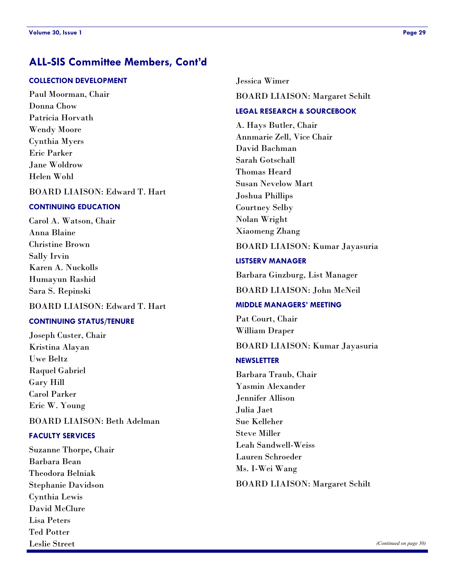### **ALL-SIS Committee Members, Cont'd**

#### **COLLECTION DEVELOPMENT**

Paul Moorman, Chair Donna Chow Patricia Horvath Wendy Moore Cynthia Myers Eric Parker Jane Woldrow Helen Wohl

BOARD LIAISON: Edward T. Hart

#### **CONTINUING EDUCATION**

Carol A. Watson, Chair Anna Blaine Christine Brown Sally Irvin Karen A. Nuckolls Humayun Rashid Sara S. Repinski

#### BOARD LIAISON: Edward T. Hart

#### **CONTINUING STATUS/TENURE**

Joseph Custer, Chair Kristina Alayan Uwe Beltz Raquel Gabriel Gary Hill Carol Parker Eric W. Young

#### BOARD LIAISON: Beth Adelman

#### **FACULTY SERVICES**

Suzanne Thorpe**,** Chair Barbara Bean Theodora Belniak Stephanie Davidson Cynthia Lewis David McClure Lisa Peters Ted Potter Leslie Street

Jessica Wimer BOARD LIAISON: Margaret Schilt

### **LEGAL RESEARCH & SOURCEBOOK**

A. Hays Butler, Chair Annmarie Zell, Vice Chair David Bachman Sarah Gotschall Thomas Heard Susan Nevelow Mart Joshua Phillips Courtney Selby Nolan Wright Xiaomeng Zhang

#### BOARD LIAISON: Kumar Jayasuria

#### **LISTSERV MANAGER**

Barbara Ginzburg, List Manager

BOARD LIAISON: John McNeil

#### **MIDDLE MANAGERS' MEETING**

Pat Court, Chair William Draper

BOARD LIAISON: Kumar Jayasuria

#### **NEWSLETTER**

Barbara Traub, Chair Yasmin Alexander Jennifer Allison Julia Jaet Sue Kelleher Steve Miller Leah Sandwell-Weiss Lauren Schroeder Ms. I-Wei Wang BOARD LIAISON: Margaret Schilt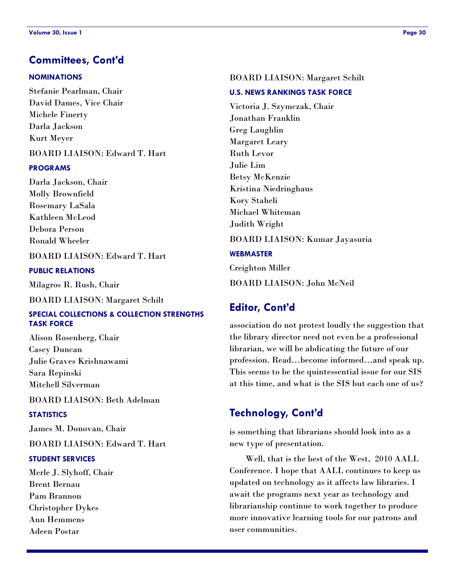### **Committees, Cont'd**

#### **NOMINATIONS**

Stefanie Pearlman, Chair David Dames, Vice Chair Michele Finerty Darla Jackson Kurt Meyer BOARD LIAISON: Edward T. Hart

#### **PROGRAMS**

Darla Jackson, Chair Molly Brownfield Rosemary LaSala Kathleen McLeod Debora Person Ronald Wheeler

#### BOARD LIAISON: Edward T. Hart

#### **PUBLIC RELATIONS**

Milagros R. Rush, Chair

BOARD LIAISON: Margaret Schilt

#### **SPECIAL COLLECTIONS & COLLECTION STRENGTHS TASK FORCE**

Alison Rosenberg, Chair Casey Duncan Julie Graves Krishnawami Sara Repinski Mitchell Silverman

#### BOARD LIAISON: Beth Adelman

#### **STATISTICS**

James M. Donovan, Chair

BOARD LIAISON: Edward T. Hart

#### **STUDENT SERVICES**

Merle J. Slyhoff, Chair Brent Bernau Pam Brannon Christopher Dykes Ann Hemmens Adeen Postar

#### BOARD LIAISON: Margaret Schilt

#### **U.S. NEWS RANKINGS TASK FORCE**

Victoria J. Szymczak, Chair Jonathan Franklin Greg Laughlin Margaret Leary Ruth Levor Julie Lim Betsy McKenzie Kristina Niedringhaus Kory Staheli Michael Whiteman Judith Wright

#### BOARD LIAISON: Kumar Jayasuria

#### **WEBMASTER**

Creighton Miller

BOARD LIAISON: John McNeil

### **Editor, Cont'd**

association do not protest loudly the suggestion that the library director need not even be a professional librarian, we will be abdicating the future of our profession. Read…become informed…and speak up. This seems to be the quintessential issue for our SIS at this time, and what is the SIS but each one of us?

### **Technology, Cont'd**

is something that librarians should look into as a new type of presentation.

Well, that is the best of the West, 2010 AALL Conference. I hope that AALL continues to keep us updated on technology as it affects law libraries. I await the programs next year as technology and librarianship continue to work together to produce more innovative learning tools for our patrons and user communities.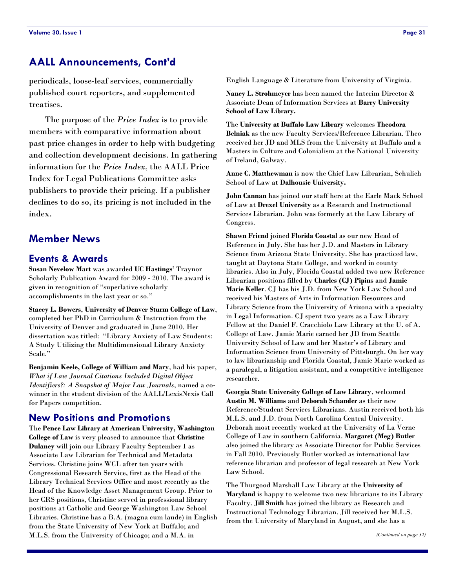### **AALL Announcements, Cont'd**

periodicals, loose-leaf services, commercially published court reporters, and supplemented treatises.

The purpose of the *Price Index* is to provide members with comparative information about past price changes in order to help with budgeting and collection development decisions. In gathering information for the *Price Index*, the AALL Price Index for Legal Publications Committee asks publishers to provide their pricing. If a publisher declines to do so, its pricing is not included in the index.

### **Member News**

#### **Events & Awards**

**Susan Nevelow Mart** was awarded **UC Hastings'** Traynor Scholarly Publication Award for 2009 - 2010. The award is given in recognition of "superlative scholarly accomplishments in the last year or so."

**Stacey L. Bowers**, **University of Denver Sturm College of Law**, completed her PhD in Curriculum & Instruction from the University of Denver and graduated in June 2010. Her dissertation was titled: "Library Anxiety of Law Students: A Study Utilizing the Multidimensional Library Anxiety Scale."

**Benjamin Keele, College of William and Mary**, had his paper, *What if Law Journal Citations Included Digital Object Identifiers?: A Snapshot of Major Law Journals*, named a cowinner in the student division of the AALL/LexisNexis Call for Papers competition.

#### **New Positions and Promotions**

The **Pence Law Library at American University, Washington College of Law** is very pleased to announce that **Christine Dulaney** will join our Library Faculty September 1 as Associate Law Librarian for Technical and Metadata Services. Christine joins WCL after ten years with Congressional Research Service, first as the Head of the Library Technical Services Office and most recently as the Head of the Knowledge Asset Management Group. Prior to her CRS positions, Christine served in professional library positions at Catholic and George Washington Law School Libraries. Christine has a B.A. (magna cum laude) in English from the State University of New York at Buffalo; and M.L.S. from the University of Chicago; and a M.A. in

English Language & Literature from University of Virginia.

**Nancy L. Strohmeyer** has been named the Interim Director & Associate Dean of Information Services at **Barry University School of Law Library.**

The **University at Buffalo Law Library** welcomes **Theodora Belniak** as the new Faculty Services/Reference Librarian. Theo received her JD and MLS from the University at Buffalo and a Masters in Culture and Colonialism at the National University of Ireland, Galway.

**Anne C. Matthewman** is now the Chief Law Librarian, Schulich School of Law at **Dalhousie University.**

**John Cannan** has joined our staff here at the Earle Mack School of Law at **Drexel University** as a Research and Instructional Services Librarian. John was formerly at the Law Library of Congress.

**Shawn Friend** joined **Florida Coastal** as our new Head of Reference in July. She has her J.D. and Masters in Library Science from Arizona State University. She has practiced law, taught at Daytona State College, and worked in county libraries. Also in July, Florida Coastal added two new Reference Librarian positions filled by **Charles (CJ) Pipins** and **Jamie Marie Keller**. CJ has his J.D. from New York Law School and received his Masters of Arts in Information Resources and Library Science from the University of Arizona with a specialty in Legal Information. CJ spent two years as a Law Library Fellow at the Daniel F. Cracchiolo Law Library at the U. of A. College of Law. Jamie Marie earned her JD from Seattle University School of Law and her Master's of Library and Information Science from University of Pittsburgh. On her way to law librarianship and Florida Coastal, Jamie Marie worked as a paralegal, a litigation assistant, and a competitive intelligence researcher.

**Georgia State University College of Law Library**, welcomed **Austin M. Williams** and **Deborah Schander** as their new Reference/Student Services Librarians. Austin received both his M.L.S. and J.D. from North Carolina Central University. Deborah most recently worked at the University of La Verne College of Law in southern California. **Margaret (Meg) Butler** also joined the library as Associate Director for Public Services in Fall 2010. Previously Butler worked as international law reference librarian and professor of legal research at New York Law School.

The Thurgood Marshall Law Library at the **University of Maryland** is happy to welcome two new librarians to its Library Faculty. **Jill Smith** has joined the library as Research and Instructional Technology Librarian. Jill received her M.L.S. from the University of Maryland in August, and she has a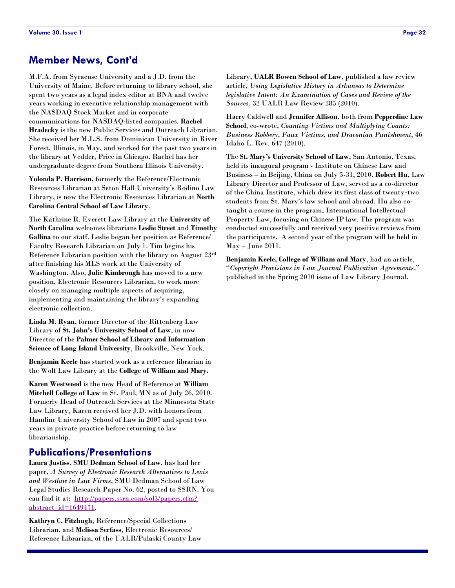### **Member News, Cont'd**

M.F.A. from Syracuse University and a J.D. from the University of Maine. Before returning to library school, she spent two years as a legal index editor at BNA and twelve years working in executive relationship management with the NASDAQ Stock Market and in corporate communications for NASDAQ-listed companies. **Rachel Hradecky** is the new Public Services and Outreach Librarian. She received her M.L.S. from Dominican University in River Forest, Illinois, in May, and worked for the past two years in the library at Vedder, Price in Chicago. Rachel has her undergraduate degree from Southern Illinois University.

**Yolonda P. Harrison**, formerly the Reference/Electronic Resources Librarian at Seton Hall University's Rodino Law Library, is now the Electronic Resources Librarian at **North Carolina Central School of Law Library**.

The Kathrine R. Everett Law Library at the **University of North Carolina** welcomes librarians **Leslie Street** and **Timothy Gallina** to our staff. Leslie began her position as Reference/ Faculty Research Librarian on July 1. Tim begins his Reference Librarian position with the library on August 23rd after finishing his MLS work at the University of Washington. Also, **Julie Kimbrough** has moved to a new position, Electronic Resources Librarian, to work more closely on managing multiple aspects of acquiring, implementing and maintaining the library's expanding electronic collection.

**Linda M. Ryan**, former Director of the Rittenberg Law Library of **St. John's University School of Law**, in now Director of the **Palmer School of Library and Information Science of Long Island University**, Brookville, New York.

**Benjamin Keele** has started work as a reference librarian in the Wolf Law Library at the **College of William and Mary.**

**Karen Westwood** is the new Head of Reference at **William Mitchell College of Law** in St. Paul, MN as of July 26, 2010. Formerly Head of Outreach Services at the Minnesota State Law Library, Karen received her J.D. with honors from Hamline University School of Law in 2007 and spent two years in private practice before returning to law librarianship.

#### **Publications/Presentations**

**Laura Justiss**, **SMU Dedman School of Law**, has had her paper, *A Survey of Electronic Research Alternatives to Lexis and Westlaw in Law Firms*, SMU Dedman School of Law Legal Studies Research Paper No. 62, posted to SSRN. You can find it at: [http://papers.ssrn.com/sol3/papers.cfm?](http://papers.ssrn.com/sol3/papers.cfm?abstract_id=1649471) [abstract\\_id=1649471.](http://papers.ssrn.com/sol3/papers.cfm?abstract_id=1649471)

**Kathryn C. Fitzhugh**, Reference/Special Collections Librarian, and **Melissa Serfass**, Electronic Resources/ Reference Librarian, of the UALR/Pulaski County Law Library, **UALR Bowen School of Law**, published a law review article, *Using Legislative History in Arkansas to Determine legislative Intent: An Examination of Cases and Review of the Sources,* 32 UALR Law Review 285 (2010).

Harry Caldwell and **Jennifer Allison**, both from **Pepperdine Law School**, co-wrote, *Counting Victims and Multiplying Counts: Business Robbery, Faux Victims, and Draconian Punishment*, 46 Idaho L. Rev. 647 (2010).

The **St. Mary's University School of Law**, San Antonio, Texas, held its inaugural program - Institute on Chinese Law and Business – in Beijing, China on July 5-31, 2010. **Robert Hu**, Law Library Director and Professor of Law, served as a co-director of the China Institute, which drew its first class of twenty-two students from St. Mary's law school and abroad. Hu also cotaught a course in the program, International Intellectual Property Law, focusing on Chinese IP law. The program was conducted successfully and received very positive reviews from the participants. A second year of the program will be held in May – June 2011.

**Benjamin Keele, College of William and Mary**, had an article, ―*Copyright Provisions in Law Journal Publication Agreements*,‖ published in the Spring 2010 issue of Law Library Journal.